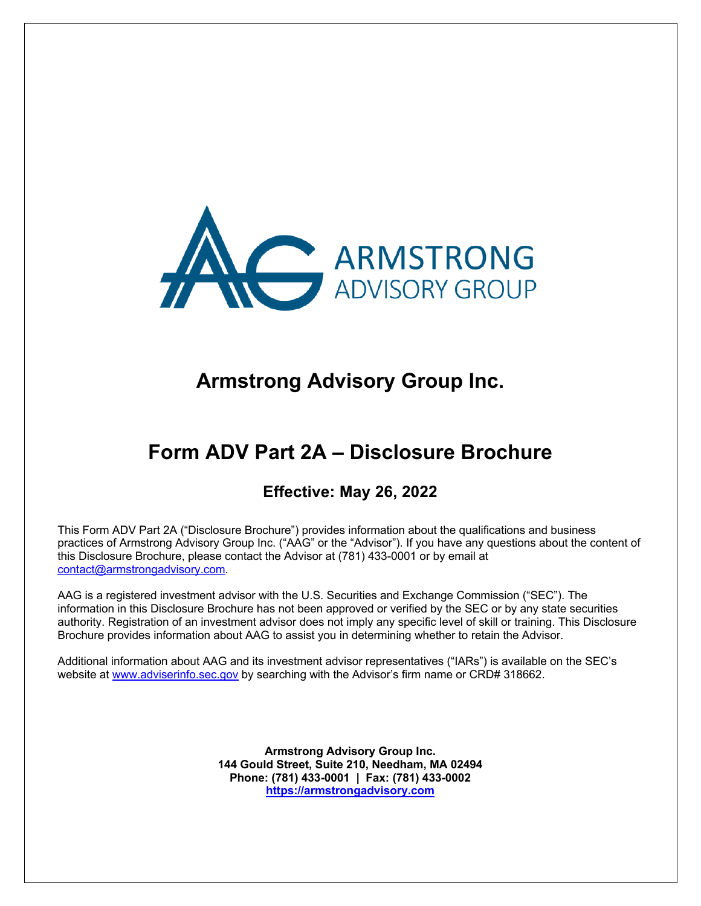

# **Armstrong Advisory Group Inc.**

# **Form ADV Part 2A – Disclosure Brochure**

# **Effective: May 26, 2022**

This Form ADV Part 2A ("Disclosure Brochure") provides information about the qualifications and business practices of Armstrong Advisory Group Inc. ("AAG" or the "Advisor"). If you have any questions about the content of this Disclosure Brochure, please contact the Advisor at (781) 433-0001 or by email at contact@armstrongadvisory.com.

AAG is a registered investment advisor with the U.S. Securities and Exchange Commission ("SEC"). The information in this Disclosure Brochure has not been approved or verified by the SEC or by any state securities authority. Registration of an investment advisor does not imply any specific level of skill or training. This Disclosure Brochure provides information about AAG to assist you in determining whether to retain the Advisor.

Additional information about AAG and its investment advisor representatives ("IARs") is available on the SEC's website at www.adviserinfo.sec.gov by searching with the Advisor's firm name or CRD# 318662.

> **Armstrong Advisory Group Inc. 144 Gould Street, Suite 210, Needham, MA 02494 Phone: (781) 433-0001 | Fax: (781) 433-0002 https://armstrongadvisory.com**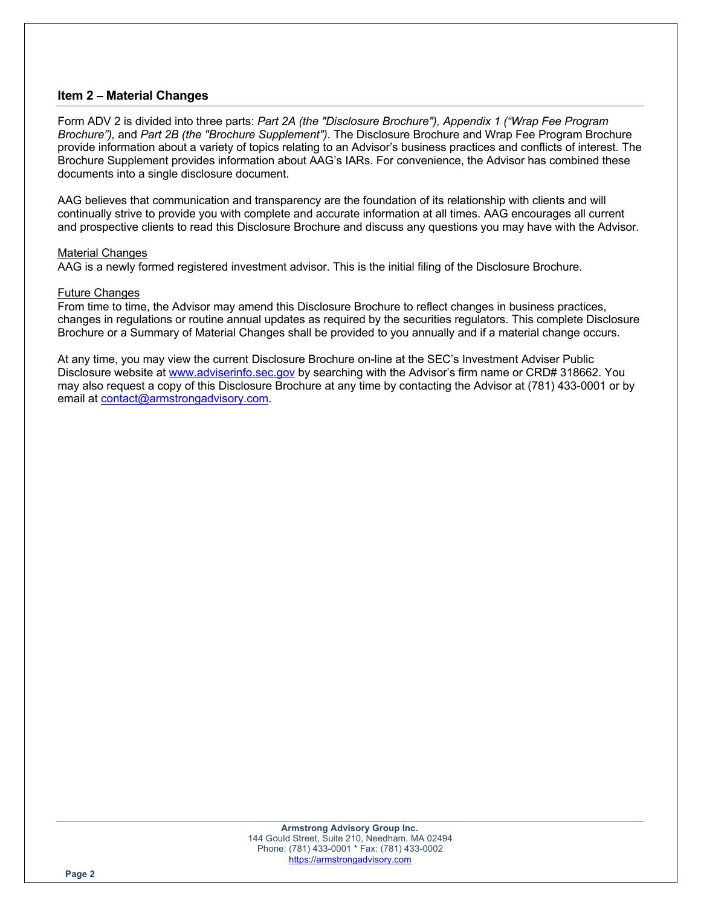## **Item 2 – Material Changes**

Form ADV 2 is divided into three parts: *Part 2A (the "Disclosure Brochure"), Appendix 1 ("Wrap Fee Program Brochure"),* and *Part 2B (the "Brochure Supplement")*. The Disclosure Brochure and Wrap Fee Program Brochure provide information about a variety of topics relating to an Advisor's business practices and conflicts of interest. The Brochure Supplement provides information about AAG's IARs. For convenience, the Advisor has combined these documents into a single disclosure document.

AAG believes that communication and transparency are the foundation of its relationship with clients and will continually strive to provide you with complete and accurate information at all times. AAG encourages all current and prospective clients to read this Disclosure Brochure and discuss any questions you may have with the Advisor.

#### Material Changes

AAG is a newly formed registered investment advisor. This is the initial filing of the Disclosure Brochure.

## Future Changes

From time to time, the Advisor may amend this Disclosure Brochure to reflect changes in business practices, changes in regulations or routine annual updates as required by the securities regulators. This complete Disclosure Brochure or a Summary of Material Changes shall be provided to you annually and if a material change occurs.

At any time, you may view the current Disclosure Brochure on-line at the SEC's Investment Adviser Public Disclosure website at www.adviserinfo.sec.gov by searching with the Advisor's firm name or CRD# 318662. You may also request a copy of this Disclosure Brochure at any time by contacting the Advisor at (781) 433-0001 or by email at contact@armstrongadvisory.com.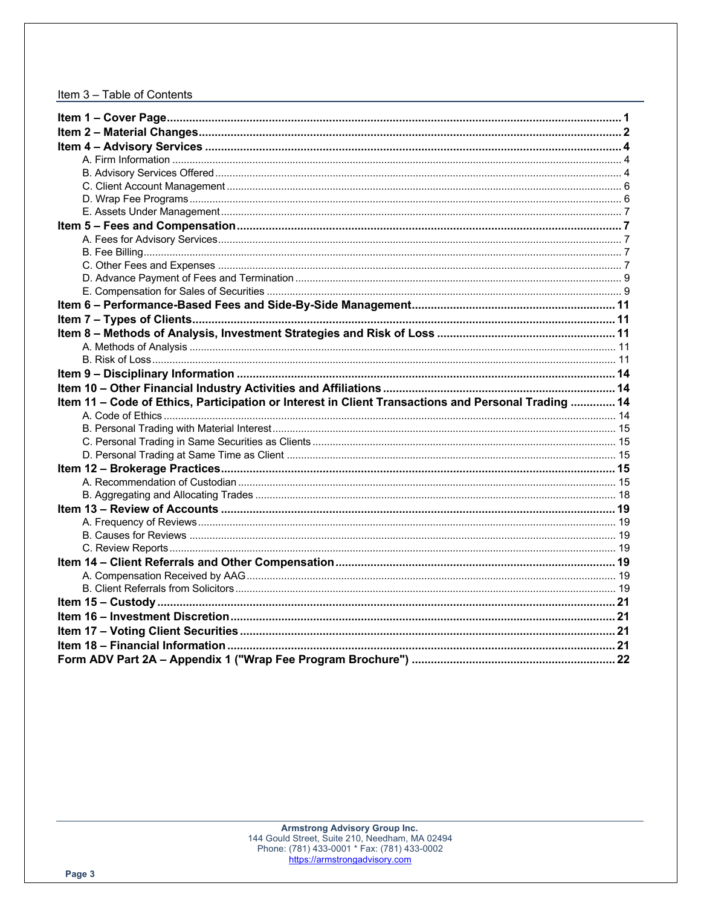## Item 3 - Table of Contents

| Item 11 - Code of Ethics, Participation or Interest in Client Transactions and Personal Trading  14 |  |
|-----------------------------------------------------------------------------------------------------|--|
|                                                                                                     |  |
|                                                                                                     |  |
|                                                                                                     |  |
|                                                                                                     |  |
|                                                                                                     |  |
|                                                                                                     |  |
|                                                                                                     |  |
|                                                                                                     |  |
|                                                                                                     |  |
|                                                                                                     |  |
|                                                                                                     |  |
|                                                                                                     |  |
|                                                                                                     |  |
|                                                                                                     |  |
|                                                                                                     |  |
|                                                                                                     |  |
|                                                                                                     |  |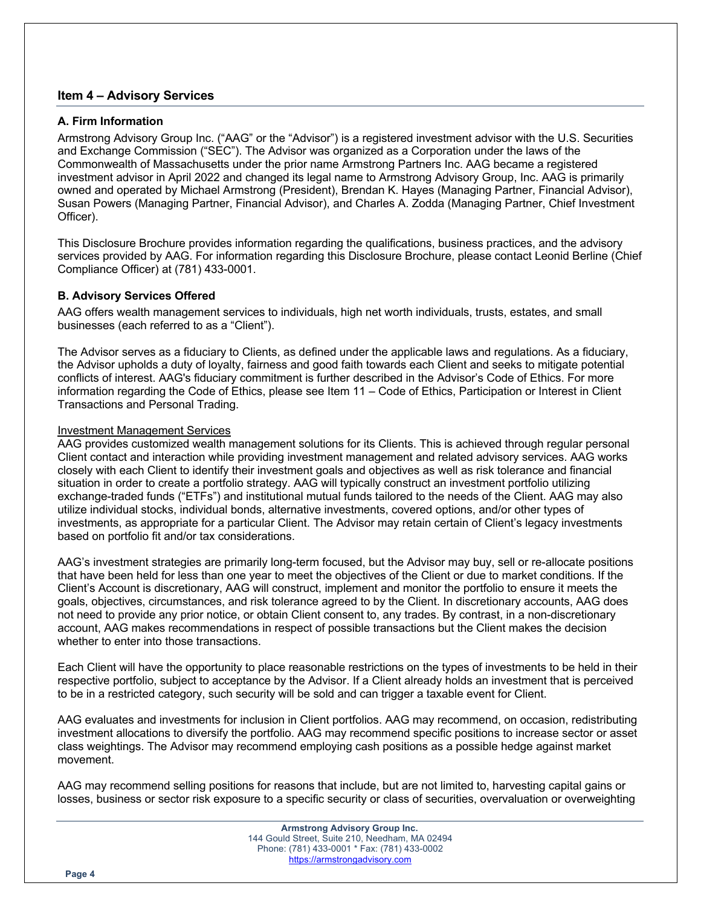## **Item 4 – Advisory Services**

## **A. Firm Information**

Armstrong Advisory Group Inc. ("AAG" or the "Advisor") is a registered investment advisor with the U.S. Securities and Exchange Commission ("SEC"). The Advisor was organized as a Corporation under the laws of the Commonwealth of Massachusetts under the prior name Armstrong Partners Inc. AAG became a registered investment advisor in April 2022 and changed its legal name to Armstrong Advisory Group, Inc. AAG is primarily owned and operated by Michael Armstrong (President), Brendan K. Hayes (Managing Partner, Financial Advisor), Susan Powers (Managing Partner, Financial Advisor), and Charles A. Zodda (Managing Partner, Chief Investment Officer).

This Disclosure Brochure provides information regarding the qualifications, business practices, and the advisory services provided by AAG. For information regarding this Disclosure Brochure, please contact Leonid Berline (Chief Compliance Officer) at (781) 433-0001.

## **B. Advisory Services Offered**

AAG offers wealth management services to individuals, high net worth individuals, trusts, estates, and small businesses (each referred to as a "Client").

The Advisor serves as a fiduciary to Clients, as defined under the applicable laws and regulations. As a fiduciary, the Advisor upholds a duty of loyalty, fairness and good faith towards each Client and seeks to mitigate potential conflicts of interest. AAG's fiduciary commitment is further described in the Advisor's Code of Ethics. For more information regarding the Code of Ethics, please see Item 11 – Code of Ethics, Participation or Interest in Client Transactions and Personal Trading.

## Investment Management Services

AAG provides customized wealth management solutions for its Clients. This is achieved through regular personal Client contact and interaction while providing investment management and related advisory services. AAG works closely with each Client to identify their investment goals and objectives as well as risk tolerance and financial situation in order to create a portfolio strategy. AAG will typically construct an investment portfolio utilizing exchange-traded funds ("ETFs") and institutional mutual funds tailored to the needs of the Client. AAG may also utilize individual stocks, individual bonds, alternative investments, covered options, and/or other types of investments, as appropriate for a particular Client. The Advisor may retain certain of Client's legacy investments based on portfolio fit and/or tax considerations.

AAG's investment strategies are primarily long-term focused, but the Advisor may buy, sell or re-allocate positions that have been held for less than one year to meet the objectives of the Client or due to market conditions. If the Client's Account is discretionary, AAG will construct, implement and monitor the portfolio to ensure it meets the goals, objectives, circumstances, and risk tolerance agreed to by the Client. In discretionary accounts, AAG does not need to provide any prior notice, or obtain Client consent to, any trades. By contrast, in a non-discretionary account, AAG makes recommendations in respect of possible transactions but the Client makes the decision whether to enter into those transactions.

Each Client will have the opportunity to place reasonable restrictions on the types of investments to be held in their respective portfolio, subject to acceptance by the Advisor. If a Client already holds an investment that is perceived to be in a restricted category, such security will be sold and can trigger a taxable event for Client.

AAG evaluates and investments for inclusion in Client portfolios. AAG may recommend, on occasion, redistributing investment allocations to diversify the portfolio. AAG may recommend specific positions to increase sector or asset class weightings. The Advisor may recommend employing cash positions as a possible hedge against market movement.

AAG may recommend selling positions for reasons that include, but are not limited to, harvesting capital gains or losses, business or sector risk exposure to a specific security or class of securities, overvaluation or overweighting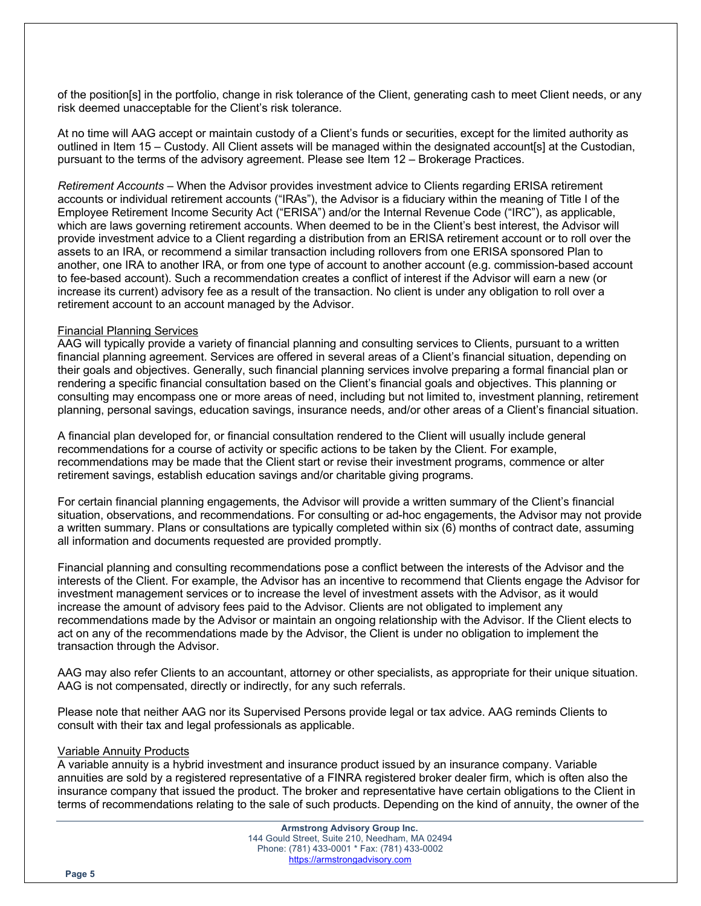of the position[s] in the portfolio, change in risk tolerance of the Client, generating cash to meet Client needs, or any risk deemed unacceptable for the Client's risk tolerance.

At no time will AAG accept or maintain custody of a Client's funds or securities, except for the limited authority as outlined in Item 15 – Custody. All Client assets will be managed within the designated account[s] at the Custodian, pursuant to the terms of the advisory agreement. Please see Item 12 – Brokerage Practices.

*Retirement Accounts* – When the Advisor provides investment advice to Clients regarding ERISA retirement accounts or individual retirement accounts ("IRAs"), the Advisor is a fiduciary within the meaning of Title I of the Employee Retirement Income Security Act ("ERISA") and/or the Internal Revenue Code ("IRC"), as applicable, which are laws governing retirement accounts. When deemed to be in the Client's best interest, the Advisor will provide investment advice to a Client regarding a distribution from an ERISA retirement account or to roll over the assets to an IRA, or recommend a similar transaction including rollovers from one ERISA sponsored Plan to another, one IRA to another IRA, or from one type of account to another account (e.g. commission-based account to fee-based account). Such a recommendation creates a conflict of interest if the Advisor will earn a new (or increase its current) advisory fee as a result of the transaction. No client is under any obligation to roll over a retirement account to an account managed by the Advisor.

#### Financial Planning Services

AAG will typically provide a variety of financial planning and consulting services to Clients, pursuant to a written financial planning agreement. Services are offered in several areas of a Client's financial situation, depending on their goals and objectives. Generally, such financial planning services involve preparing a formal financial plan or rendering a specific financial consultation based on the Client's financial goals and objectives. This planning or consulting may encompass one or more areas of need, including but not limited to, investment planning, retirement planning, personal savings, education savings, insurance needs, and/or other areas of a Client's financial situation.

A financial plan developed for, or financial consultation rendered to the Client will usually include general recommendations for a course of activity or specific actions to be taken by the Client. For example, recommendations may be made that the Client start or revise their investment programs, commence or alter retirement savings, establish education savings and/or charitable giving programs.

For certain financial planning engagements, the Advisor will provide a written summary of the Client's financial situation, observations, and recommendations. For consulting or ad-hoc engagements, the Advisor may not provide a written summary. Plans or consultations are typically completed within six (6) months of contract date, assuming all information and documents requested are provided promptly.

Financial planning and consulting recommendations pose a conflict between the interests of the Advisor and the interests of the Client. For example, the Advisor has an incentive to recommend that Clients engage the Advisor for investment management services or to increase the level of investment assets with the Advisor, as it would increase the amount of advisory fees paid to the Advisor. Clients are not obligated to implement any recommendations made by the Advisor or maintain an ongoing relationship with the Advisor. If the Client elects to act on any of the recommendations made by the Advisor, the Client is under no obligation to implement the transaction through the Advisor.

AAG may also refer Clients to an accountant, attorney or other specialists, as appropriate for their unique situation. AAG is not compensated, directly or indirectly, for any such referrals.

Please note that neither AAG nor its Supervised Persons provide legal or tax advice. AAG reminds Clients to consult with their tax and legal professionals as applicable.

#### Variable Annuity Products

A variable annuity is a hybrid investment and insurance product issued by an insurance company. Variable annuities are sold by a registered representative of a FINRA registered broker dealer firm, which is often also the insurance company that issued the product. The broker and representative have certain obligations to the Client in terms of recommendations relating to the sale of such products. Depending on the kind of annuity, the owner of the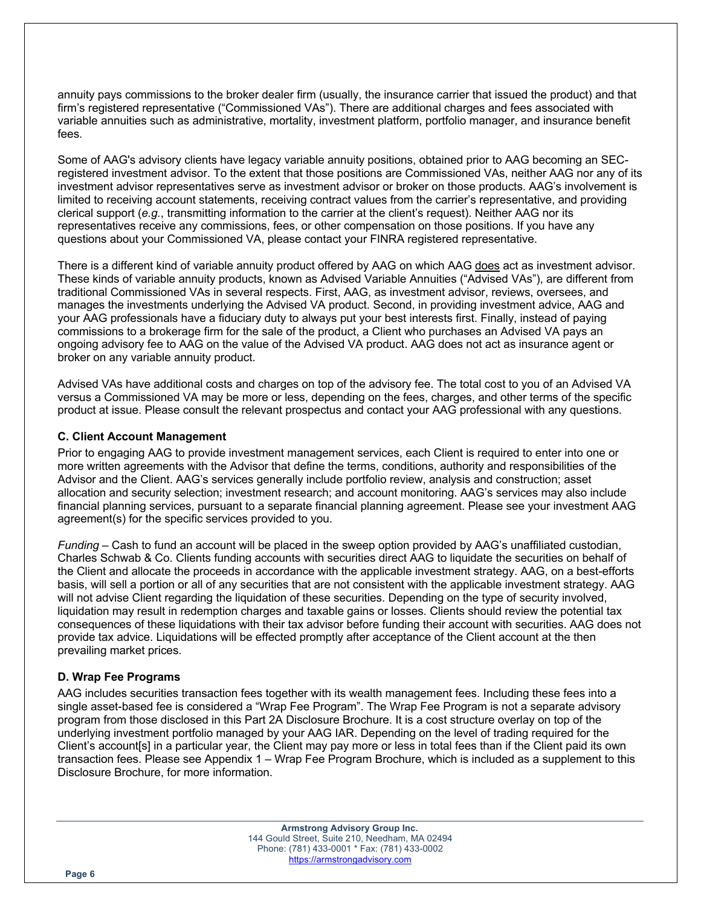annuity pays commissions to the broker dealer firm (usually, the insurance carrier that issued the product) and that firm's registered representative ("Commissioned VAs"). There are additional charges and fees associated with variable annuities such as administrative, mortality, investment platform, portfolio manager, and insurance benefit fees.

Some of AAG's advisory clients have legacy variable annuity positions, obtained prior to AAG becoming an SECregistered investment advisor. To the extent that those positions are Commissioned VAs, neither AAG nor any of its investment advisor representatives serve as investment advisor or broker on those products. AAG's involvement is limited to receiving account statements, receiving contract values from the carrier's representative, and providing clerical support (*e.g.*, transmitting information to the carrier at the client's request). Neither AAG nor its representatives receive any commissions, fees, or other compensation on those positions. If you have any questions about your Commissioned VA, please contact your FINRA registered representative.

There is a different kind of variable annuity product offered by AAG on which AAG does act as investment advisor. These kinds of variable annuity products, known as Advised Variable Annuities ("Advised VAs"), are different from traditional Commissioned VAs in several respects. First, AAG, as investment advisor, reviews, oversees, and manages the investments underlying the Advised VA product. Second, in providing investment advice, AAG and your AAG professionals have a fiduciary duty to always put your best interests first. Finally, instead of paying commissions to a brokerage firm for the sale of the product, a Client who purchases an Advised VA pays an ongoing advisory fee to AAG on the value of the Advised VA product. AAG does not act as insurance agent or broker on any variable annuity product.

Advised VAs have additional costs and charges on top of the advisory fee. The total cost to you of an Advised VA versus a Commissioned VA may be more or less, depending on the fees, charges, and other terms of the specific product at issue. Please consult the relevant prospectus and contact your AAG professional with any questions.

## **C. Client Account Management**

Prior to engaging AAG to provide investment management services, each Client is required to enter into one or more written agreements with the Advisor that define the terms, conditions, authority and responsibilities of the Advisor and the Client. AAG's services generally include portfolio review, analysis and construction; asset allocation and security selection; investment research; and account monitoring. AAG's services may also include financial planning services, pursuant to a separate financial planning agreement. Please see your investment AAG agreement(s) for the specific services provided to you.

*Funding* – Cash to fund an account will be placed in the sweep option provided by AAG's unaffiliated custodian, Charles Schwab & Co. Clients funding accounts with securities direct AAG to liquidate the securities on behalf of the Client and allocate the proceeds in accordance with the applicable investment strategy. AAG, on a best-efforts basis, will sell a portion or all of any securities that are not consistent with the applicable investment strategy. AAG will not advise Client regarding the liquidation of these securities. Depending on the type of security involved, liquidation may result in redemption charges and taxable gains or losses. Clients should review the potential tax consequences of these liquidations with their tax advisor before funding their account with securities. AAG does not provide tax advice. Liquidations will be effected promptly after acceptance of the Client account at the then prevailing market prices.

## **D. Wrap Fee Programs**

AAG includes securities transaction fees together with its wealth management fees. Including these fees into a single asset-based fee is considered a "Wrap Fee Program". The Wrap Fee Program is not a separate advisory program from those disclosed in this Part 2A Disclosure Brochure. It is a cost structure overlay on top of the underlying investment portfolio managed by your AAG IAR. Depending on the level of trading required for the Client's account[s] in a particular year, the Client may pay more or less in total fees than if the Client paid its own transaction fees. Please see Appendix 1 – Wrap Fee Program Brochure, which is included as a supplement to this Disclosure Brochure, for more information.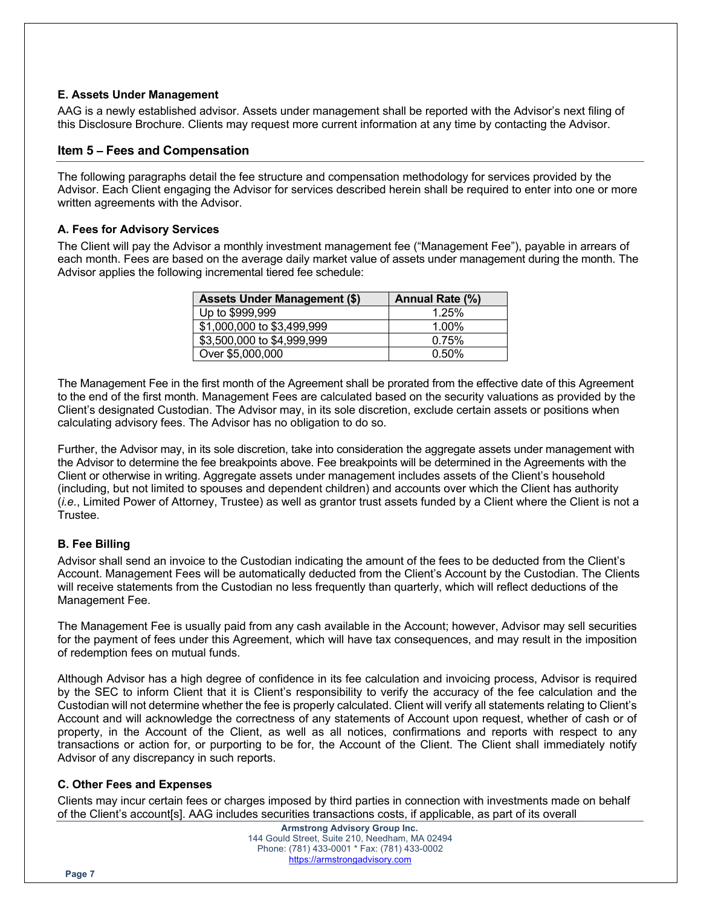## **E. Assets Under Management**

AAG is a newly established advisor. Assets under management shall be reported with the Advisor's next filing of this Disclosure Brochure. Clients may request more current information at any time by contacting the Advisor.

## **Item 5 – Fees and Compensation**

The following paragraphs detail the fee structure and compensation methodology for services provided by the Advisor. Each Client engaging the Advisor for services described herein shall be required to enter into one or more written agreements with the Advisor.

## **A. Fees for Advisory Services**

The Client will pay the Advisor a monthly investment management fee ("Management Fee"), payable in arrears of each month. Fees are based on the average daily market value of assets under management during the month. The Advisor applies the following incremental tiered fee schedule:

| <b>Assets Under Management (\$)</b> | Annual Rate (%) |
|-------------------------------------|-----------------|
| Up to \$999,999                     | 1.25%           |
| \$1,000,000 to \$3,499,999          | 1.00%           |
| \$3,500,000 to \$4,999,999          | 0.75%           |
| Over \$5,000,000                    | 0.50%           |

The Management Fee in the first month of the Agreement shall be prorated from the effective date of this Agreement to the end of the first month. Management Fees are calculated based on the security valuations as provided by the Client's designated Custodian. The Advisor may, in its sole discretion, exclude certain assets or positions when calculating advisory fees. The Advisor has no obligation to do so.

Further, the Advisor may, in its sole discretion, take into consideration the aggregate assets under management with the Advisor to determine the fee breakpoints above. Fee breakpoints will be determined in the Agreements with the Client or otherwise in writing. Aggregate assets under management includes assets of the Client's household (including, but not limited to spouses and dependent children) and accounts over which the Client has authority (*i.e.*, Limited Power of Attorney, Trustee) as well as grantor trust assets funded by a Client where the Client is not a Trustee.

## **B. Fee Billing**

Advisor shall send an invoice to the Custodian indicating the amount of the fees to be deducted from the Client's Account. Management Fees will be automatically deducted from the Client's Account by the Custodian. The Clients will receive statements from the Custodian no less frequently than quarterly, which will reflect deductions of the Management Fee.

The Management Fee is usually paid from any cash available in the Account; however, Advisor may sell securities for the payment of fees under this Agreement, which will have tax consequences, and may result in the imposition of redemption fees on mutual funds.

Although Advisor has a high degree of confidence in its fee calculation and invoicing process, Advisor is required by the SEC to inform Client that it is Client's responsibility to verify the accuracy of the fee calculation and the Custodian will not determine whether the fee is properly calculated. Client will verify all statements relating to Client's Account and will acknowledge the correctness of any statements of Account upon request, whether of cash or of property, in the Account of the Client, as well as all notices, confirmations and reports with respect to any transactions or action for, or purporting to be for, the Account of the Client. The Client shall immediately notify Advisor of any discrepancy in such reports.

## **C. Other Fees and Expenses**

Clients may incur certain fees or charges imposed by third parties in connection with investments made on behalf of the Client's account[s]. AAG includes securities transactions costs, if applicable, as part of its overall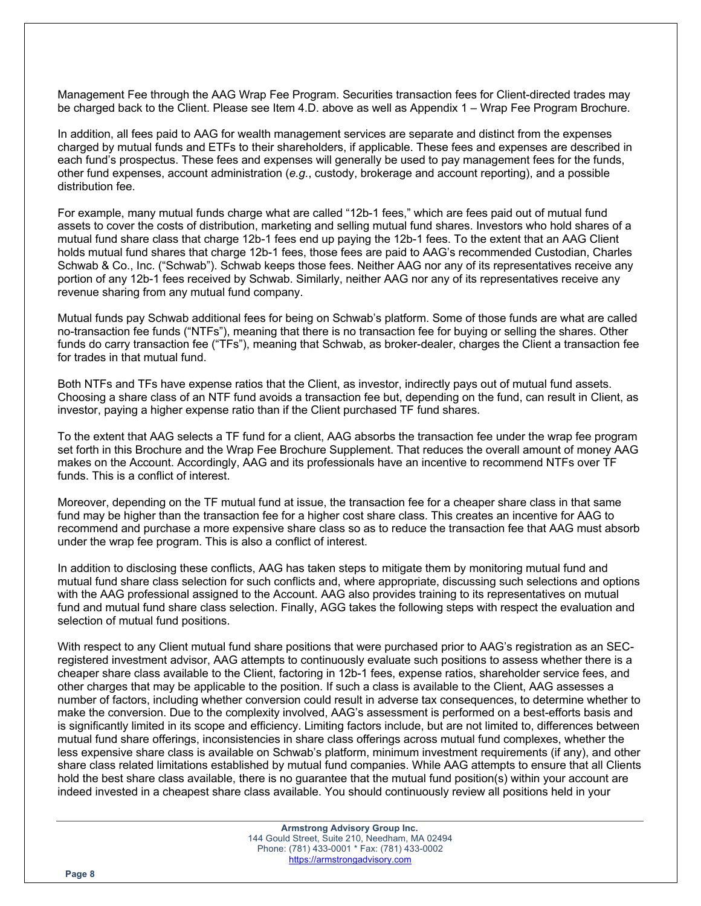Management Fee through the AAG Wrap Fee Program. Securities transaction fees for Client-directed trades may be charged back to the Client. Please see Item 4.D. above as well as Appendix 1 – Wrap Fee Program Brochure.

In addition, all fees paid to AAG for wealth management services are separate and distinct from the expenses charged by mutual funds and ETFs to their shareholders, if applicable. These fees and expenses are described in each fund's prospectus. These fees and expenses will generally be used to pay management fees for the funds, other fund expenses, account administration (*e.g.*, custody, brokerage and account reporting), and a possible distribution fee.

For example, many mutual funds charge what are called "12b-1 fees," which are fees paid out of mutual fund assets to cover the costs of distribution, marketing and selling mutual fund shares. Investors who hold shares of a mutual fund share class that charge 12b-1 fees end up paying the 12b-1 fees. To the extent that an AAG Client holds mutual fund shares that charge 12b-1 fees, those fees are paid to AAG's recommended Custodian, Charles Schwab & Co., Inc. ("Schwab"). Schwab keeps those fees. Neither AAG nor any of its representatives receive any portion of any 12b-1 fees received by Schwab. Similarly, neither AAG nor any of its representatives receive any revenue sharing from any mutual fund company.

Mutual funds pay Schwab additional fees for being on Schwab's platform. Some of those funds are what are called no-transaction fee funds ("NTFs"), meaning that there is no transaction fee for buying or selling the shares. Other funds do carry transaction fee ("TFs"), meaning that Schwab, as broker-dealer, charges the Client a transaction fee for trades in that mutual fund.

Both NTFs and TFs have expense ratios that the Client, as investor, indirectly pays out of mutual fund assets. Choosing a share class of an NTF fund avoids a transaction fee but, depending on the fund, can result in Client, as investor, paying a higher expense ratio than if the Client purchased TF fund shares.

To the extent that AAG selects a TF fund for a client, AAG absorbs the transaction fee under the wrap fee program set forth in this Brochure and the Wrap Fee Brochure Supplement. That reduces the overall amount of money AAG makes on the Account. Accordingly, AAG and its professionals have an incentive to recommend NTFs over TF funds. This is a conflict of interest.

Moreover, depending on the TF mutual fund at issue, the transaction fee for a cheaper share class in that same fund may be higher than the transaction fee for a higher cost share class. This creates an incentive for AAG to recommend and purchase a more expensive share class so as to reduce the transaction fee that AAG must absorb under the wrap fee program. This is also a conflict of interest.

In addition to disclosing these conflicts, AAG has taken steps to mitigate them by monitoring mutual fund and mutual fund share class selection for such conflicts and, where appropriate, discussing such selections and options with the AAG professional assigned to the Account. AAG also provides training to its representatives on mutual fund and mutual fund share class selection. Finally, AGG takes the following steps with respect the evaluation and selection of mutual fund positions.

With respect to any Client mutual fund share positions that were purchased prior to AAG's registration as an SECregistered investment advisor, AAG attempts to continuously evaluate such positions to assess whether there is a cheaper share class available to the Client, factoring in 12b-1 fees, expense ratios, shareholder service fees, and other charges that may be applicable to the position. If such a class is available to the Client, AAG assesses a number of factors, including whether conversion could result in adverse tax consequences, to determine whether to make the conversion. Due to the complexity involved, AAG's assessment is performed on a best-efforts basis and is significantly limited in its scope and efficiency. Limiting factors include, but are not limited to, differences between mutual fund share offerings, inconsistencies in share class offerings across mutual fund complexes, whether the less expensive share class is available on Schwab's platform, minimum investment requirements (if any), and other share class related limitations established by mutual fund companies. While AAG attempts to ensure that all Clients hold the best share class available, there is no guarantee that the mutual fund position(s) within your account are indeed invested in a cheapest share class available. You should continuously review all positions held in your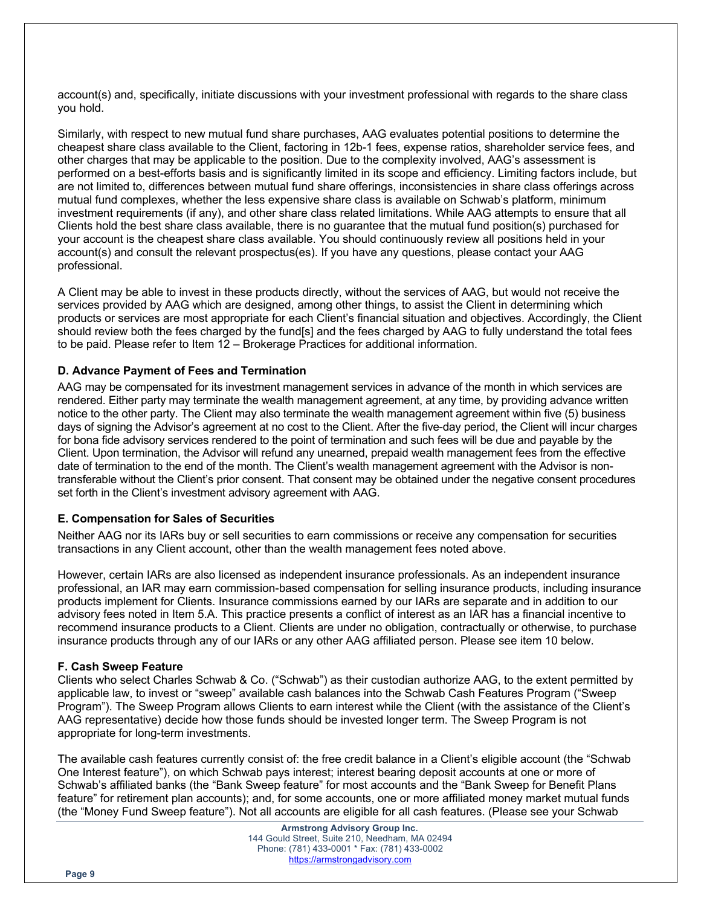account(s) and, specifically, initiate discussions with your investment professional with regards to the share class you hold.

Similarly, with respect to new mutual fund share purchases, AAG evaluates potential positions to determine the cheapest share class available to the Client, factoring in 12b-1 fees, expense ratios, shareholder service fees, and other charges that may be applicable to the position. Due to the complexity involved, AAG's assessment is performed on a best-efforts basis and is significantly limited in its scope and efficiency. Limiting factors include, but are not limited to, differences between mutual fund share offerings, inconsistencies in share class offerings across mutual fund complexes, whether the less expensive share class is available on Schwab's platform, minimum investment requirements (if any), and other share class related limitations. While AAG attempts to ensure that all Clients hold the best share class available, there is no guarantee that the mutual fund position(s) purchased for your account is the cheapest share class available. You should continuously review all positions held in your account(s) and consult the relevant prospectus(es). If you have any questions, please contact your AAG professional.

A Client may be able to invest in these products directly, without the services of AAG, but would not receive the services provided by AAG which are designed, among other things, to assist the Client in determining which products or services are most appropriate for each Client's financial situation and objectives. Accordingly, the Client should review both the fees charged by the fund[s] and the fees charged by AAG to fully understand the total fees to be paid. Please refer to Item 12 – Brokerage Practices for additional information.

## **D. Advance Payment of Fees and Termination**

AAG may be compensated for its investment management services in advance of the month in which services are rendered. Either party may terminate the wealth management agreement, at any time, by providing advance written notice to the other party. The Client may also terminate the wealth management agreement within five (5) business days of signing the Advisor's agreement at no cost to the Client. After the five-day period, the Client will incur charges for bona fide advisory services rendered to the point of termination and such fees will be due and payable by the Client. Upon termination, the Advisor will refund any unearned, prepaid wealth management fees from the effective date of termination to the end of the month. The Client's wealth management agreement with the Advisor is nontransferable without the Client's prior consent. That consent may be obtained under the negative consent procedures set forth in the Client's investment advisory agreement with AAG.

#### **E. Compensation for Sales of Securities**

Neither AAG nor its IARs buy or sell securities to earn commissions or receive any compensation for securities transactions in any Client account, other than the wealth management fees noted above.

However, certain IARs are also licensed as independent insurance professionals. As an independent insurance professional, an IAR may earn commission-based compensation for selling insurance products, including insurance products implement for Clients. Insurance commissions earned by our IARs are separate and in addition to our advisory fees noted in Item 5.A. This practice presents a conflict of interest as an IAR has a financial incentive to recommend insurance products to a Client. Clients are under no obligation, contractually or otherwise, to purchase insurance products through any of our IARs or any other AAG affiliated person. Please see item 10 below.

#### **F. Cash Sweep Feature**

Clients who select Charles Schwab & Co. ("Schwab") as their custodian authorize AAG, to the extent permitted by applicable law, to invest or "sweep" available cash balances into the Schwab Cash Features Program ("Sweep Program"). The Sweep Program allows Clients to earn interest while the Client (with the assistance of the Client's AAG representative) decide how those funds should be invested longer term. The Sweep Program is not appropriate for long-term investments.

The available cash features currently consist of: the free credit balance in a Client's eligible account (the "Schwab One Interest feature"), on which Schwab pays interest; interest bearing deposit accounts at one or more of Schwab's affiliated banks (the "Bank Sweep feature" for most accounts and the "Bank Sweep for Benefit Plans feature" for retirement plan accounts); and, for some accounts, one or more affiliated money market mutual funds (the "Money Fund Sweep feature"). Not all accounts are eligible for all cash features. (Please see your Schwab

> **Armstrong Advisory Group Inc.** 144 Gould Street, Suite 210, Needham, MA 02494 Phone: (781) 433-0001 \* Fax: (781) 433-0002 https://armstrongadvisory.com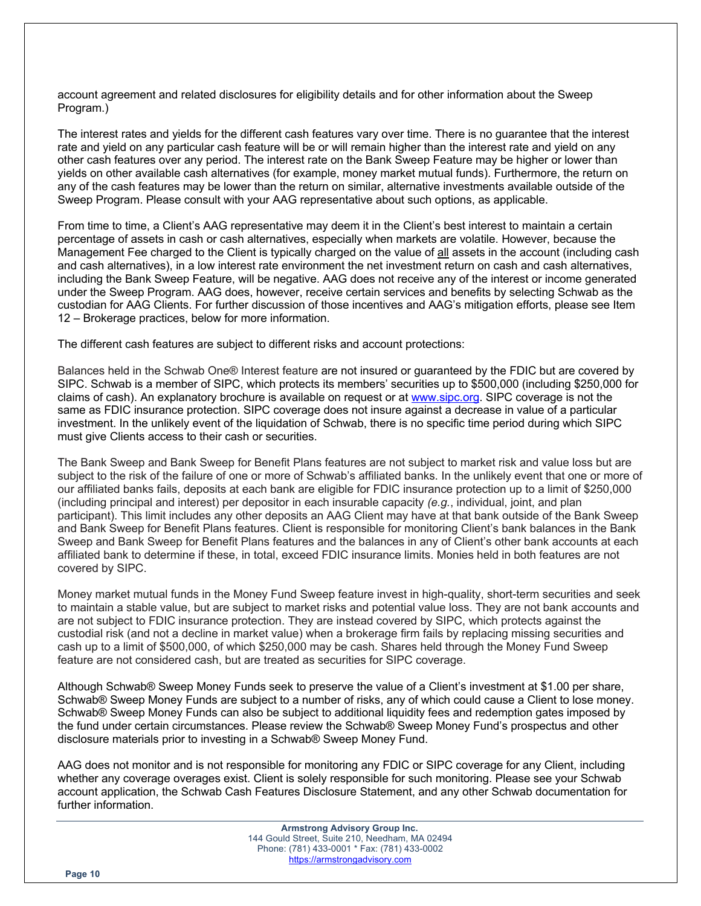account agreement and related disclosures for eligibility details and for other information about the Sweep Program.)

The interest rates and yields for the different cash features vary over time. There is no guarantee that the interest rate and yield on any particular cash feature will be or will remain higher than the interest rate and yield on any other cash features over any period. The interest rate on the Bank Sweep Feature may be higher or lower than yields on other available cash alternatives (for example, money market mutual funds). Furthermore, the return on any of the cash features may be lower than the return on similar, alternative investments available outside of the Sweep Program. Please consult with your AAG representative about such options, as applicable.

From time to time, a Client's AAG representative may deem it in the Client's best interest to maintain a certain percentage of assets in cash or cash alternatives, especially when markets are volatile. However, because the Management Fee charged to the Client is typically charged on the value of all assets in the account (including cash and cash alternatives), in a low interest rate environment the net investment return on cash and cash alternatives, including the Bank Sweep Feature, will be negative. AAG does not receive any of the interest or income generated under the Sweep Program. AAG does, however, receive certain services and benefits by selecting Schwab as the custodian for AAG Clients. For further discussion of those incentives and AAG's mitigation efforts, please see Item 12 – Brokerage practices, below for more information.

The different cash features are subject to different risks and account protections:

Balances held in the Schwab One® Interest feature are not insured or guaranteed by the FDIC but are covered by SIPC. Schwab is a member of SIPC, which protects its members' securities up to \$500,000 (including \$250,000 for claims of cash). An explanatory brochure is available on request or at www.sipc.org. SIPC coverage is not the same as FDIC insurance protection. SIPC coverage does not insure against a decrease in value of a particular investment. In the unlikely event of the liquidation of Schwab, there is no specific time period during which SIPC must give Clients access to their cash or securities.

The Bank Sweep and Bank Sweep for Benefit Plans features are not subject to market risk and value loss but are subject to the risk of the failure of one or more of Schwab's affiliated banks. In the unlikely event that one or more of our affiliated banks fails, deposits at each bank are eligible for FDIC insurance protection up to a limit of \$250,000 (including principal and interest) per depositor in each insurable capacity *(e.g.*, individual, joint, and plan participant). This limit includes any other deposits an AAG Client may have at that bank outside of the Bank Sweep and Bank Sweep for Benefit Plans features. Client is responsible for monitoring Client's bank balances in the Bank Sweep and Bank Sweep for Benefit Plans features and the balances in any of Client's other bank accounts at each affiliated bank to determine if these, in total, exceed FDIC insurance limits. Monies held in both features are not covered by SIPC.

Money market mutual funds in the Money Fund Sweep feature invest in high-quality, short-term securities and seek to maintain a stable value, but are subject to market risks and potential value loss. They are not bank accounts and are not subject to FDIC insurance protection. They are instead covered by SIPC, which protects against the custodial risk (and not a decline in market value) when a brokerage firm fails by replacing missing securities and cash up to a limit of \$500,000, of which \$250,000 may be cash. Shares held through the Money Fund Sweep feature are not considered cash, but are treated as securities for SIPC coverage.

Although Schwab® Sweep Money Funds seek to preserve the value of a Client's investment at \$1.00 per share, Schwab® Sweep Money Funds are subject to a number of risks, any of which could cause a Client to lose money. Schwab® Sweep Money Funds can also be subject to additional liquidity fees and redemption gates imposed by the fund under certain circumstances. Please review the Schwab® Sweep Money Fund's prospectus and other disclosure materials prior to investing in a Schwab® Sweep Money Fund.

AAG does not monitor and is not responsible for monitoring any FDIC or SIPC coverage for any Client, including whether any coverage overages exist. Client is solely responsible for such monitoring. Please see your Schwab account application, the Schwab Cash Features Disclosure Statement, and any other Schwab documentation for further information.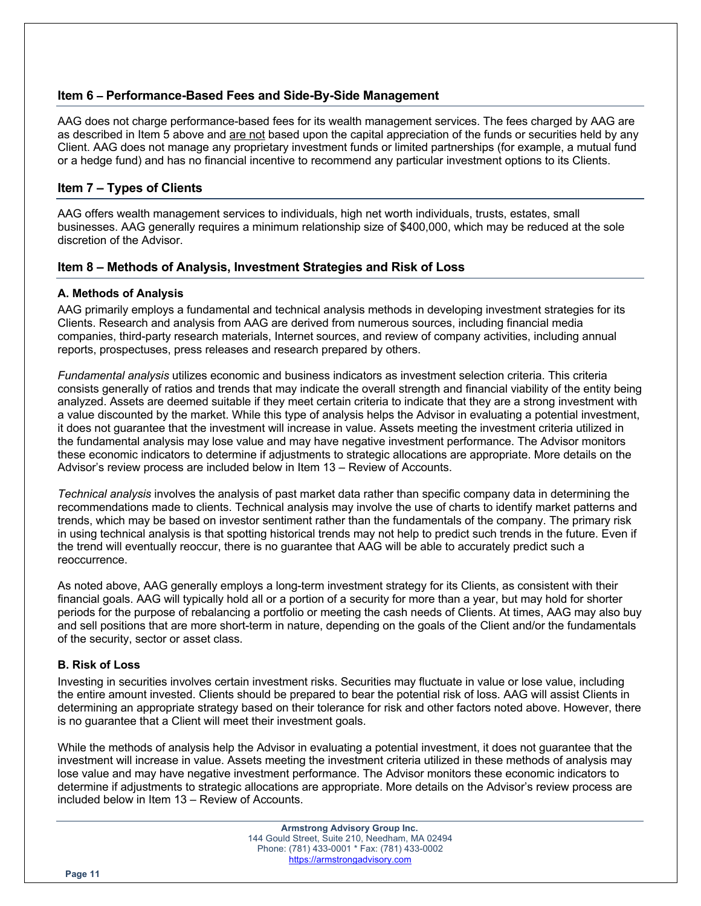## **Item 6 – Performance-Based Fees and Side-By-Side Management**

AAG does not charge performance-based fees for its wealth management services. The fees charged by AAG are as described in Item 5 above and are not based upon the capital appreciation of the funds or securities held by any Client. AAG does not manage any proprietary investment funds or limited partnerships (for example, a mutual fund or a hedge fund) and has no financial incentive to recommend any particular investment options to its Clients.

# **Item 7 – Types of Clients**

AAG offers wealth management services to individuals, high net worth individuals, trusts, estates, small businesses. AAG generally requires a minimum relationship size of \$400,000, which may be reduced at the sole discretion of the Advisor.

## **Item 8 – Methods of Analysis, Investment Strategies and Risk of Loss**

## **A. Methods of Analysis**

AAG primarily employs a fundamental and technical analysis methods in developing investment strategies for its Clients. Research and analysis from AAG are derived from numerous sources, including financial media companies, third-party research materials, Internet sources, and review of company activities, including annual reports, prospectuses, press releases and research prepared by others.

*Fundamental analysis* utilizes economic and business indicators as investment selection criteria. This criteria consists generally of ratios and trends that may indicate the overall strength and financial viability of the entity being analyzed. Assets are deemed suitable if they meet certain criteria to indicate that they are a strong investment with a value discounted by the market. While this type of analysis helps the Advisor in evaluating a potential investment, it does not guarantee that the investment will increase in value. Assets meeting the investment criteria utilized in the fundamental analysis may lose value and may have negative investment performance. The Advisor monitors these economic indicators to determine if adjustments to strategic allocations are appropriate. More details on the Advisor's review process are included below in Item 13 – Review of Accounts.

*Technical analysis* involves the analysis of past market data rather than specific company data in determining the recommendations made to clients. Technical analysis may involve the use of charts to identify market patterns and trends, which may be based on investor sentiment rather than the fundamentals of the company. The primary risk in using technical analysis is that spotting historical trends may not help to predict such trends in the future. Even if the trend will eventually reoccur, there is no guarantee that AAG will be able to accurately predict such a reoccurrence.

As noted above, AAG generally employs a long-term investment strategy for its Clients, as consistent with their financial goals. AAG will typically hold all or a portion of a security for more than a year, but may hold for shorter periods for the purpose of rebalancing a portfolio or meeting the cash needs of Clients. At times, AAG may also buy and sell positions that are more short-term in nature, depending on the goals of the Client and/or the fundamentals of the security, sector or asset class.

## **B. Risk of Loss**

Investing in securities involves certain investment risks. Securities may fluctuate in value or lose value, including the entire amount invested. Clients should be prepared to bear the potential risk of loss. AAG will assist Clients in determining an appropriate strategy based on their tolerance for risk and other factors noted above. However, there is no guarantee that a Client will meet their investment goals.

While the methods of analysis help the Advisor in evaluating a potential investment, it does not guarantee that the investment will increase in value. Assets meeting the investment criteria utilized in these methods of analysis may lose value and may have negative investment performance. The Advisor monitors these economic indicators to determine if adjustments to strategic allocations are appropriate. More details on the Advisor's review process are included below in Item 13 – Review of Accounts.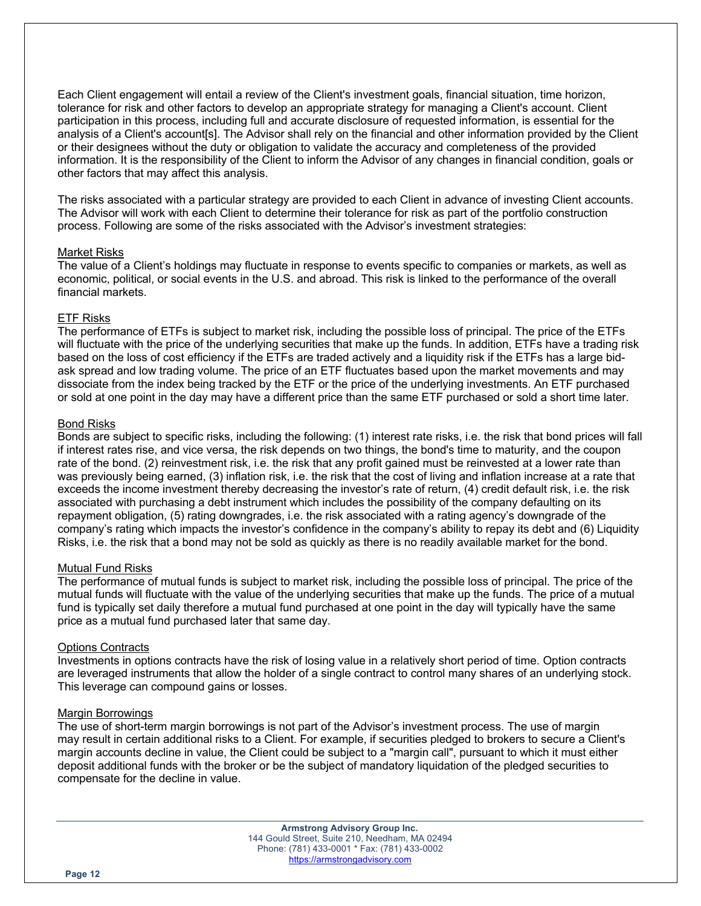Each Client engagement will entail a review of the Client's investment goals, financial situation, time horizon, tolerance for risk and other factors to develop an appropriate strategy for managing a Client's account. Client participation in this process, including full and accurate disclosure of requested information, is essential for the analysis of a Client's account[s]. The Advisor shall rely on the financial and other information provided by the Client or their designees without the duty or obligation to validate the accuracy and completeness of the provided information. It is the responsibility of the Client to inform the Advisor of any changes in financial condition, goals or other factors that may affect this analysis.

The risks associated with a particular strategy are provided to each Client in advance of investing Client accounts. The Advisor will work with each Client to determine their tolerance for risk as part of the portfolio construction process. Following are some of the risks associated with the Advisor's investment strategies:

#### Market Risks

The value of a Client's holdings may fluctuate in response to events specific to companies or markets, as well as economic, political, or social events in the U.S. and abroad. This risk is linked to the performance of the overall financial markets.

#### ETF Risks

The performance of ETFs is subject to market risk, including the possible loss of principal. The price of the ETFs will fluctuate with the price of the underlying securities that make up the funds. In addition, ETFs have a trading risk based on the loss of cost efficiency if the ETFs are traded actively and a liquidity risk if the ETFs has a large bidask spread and low trading volume. The price of an ETF fluctuates based upon the market movements and may dissociate from the index being tracked by the ETF or the price of the underlying investments. An ETF purchased or sold at one point in the day may have a different price than the same ETF purchased or sold a short time later.

#### Bond Risks

Bonds are subject to specific risks, including the following: (1) interest rate risks, i.e. the risk that bond prices will fall if interest rates rise, and vice versa, the risk depends on two things, the bond's time to maturity, and the coupon rate of the bond. (2) reinvestment risk, i.e. the risk that any profit gained must be reinvested at a lower rate than was previously being earned, (3) inflation risk, i.e. the risk that the cost of living and inflation increase at a rate that exceeds the income investment thereby decreasing the investor's rate of return, (4) credit default risk, i.e. the risk associated with purchasing a debt instrument which includes the possibility of the company defaulting on its repayment obligation, (5) rating downgrades, i.e. the risk associated with a rating agency's downgrade of the company's rating which impacts the investor's confidence in the company's ability to repay its debt and (6) Liquidity Risks, i.e. the risk that a bond may not be sold as quickly as there is no readily available market for the bond.

#### Mutual Fund Risks

The performance of mutual funds is subject to market risk, including the possible loss of principal. The price of the mutual funds will fluctuate with the value of the underlying securities that make up the funds. The price of a mutual fund is typically set daily therefore a mutual fund purchased at one point in the day will typically have the same price as a mutual fund purchased later that same day.

#### Options Contracts

Investments in options contracts have the risk of losing value in a relatively short period of time. Option contracts are leveraged instruments that allow the holder of a single contract to control many shares of an underlying stock. This leverage can compound gains or losses.

#### Margin Borrowings

The use of short-term margin borrowings is not part of the Advisor's investment process. The use of margin may result in certain additional risks to a Client. For example, if securities pledged to brokers to secure a Client's margin accounts decline in value, the Client could be subject to a "margin call", pursuant to which it must either deposit additional funds with the broker or be the subject of mandatory liquidation of the pledged securities to compensate for the decline in value.

> **Armstrong Advisory Group Inc.** 144 Gould Street, Suite 210, Needham, MA 02494 Phone: (781) 433-0001 \* Fax: (781) 433-0002 https://armstrongadvisory.com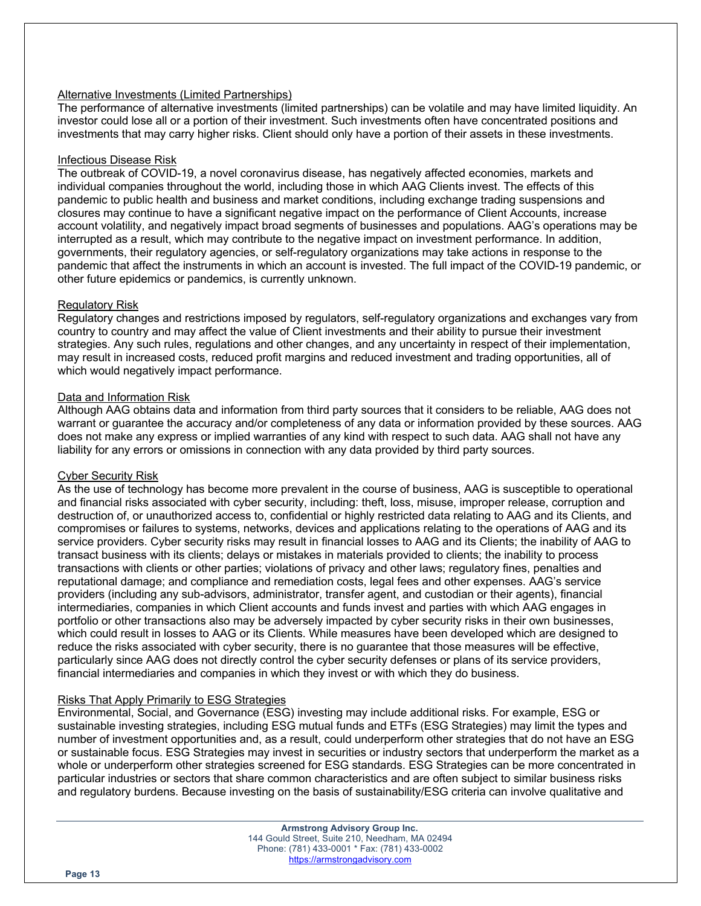## Alternative Investments (Limited Partnerships)

The performance of alternative investments (limited partnerships) can be volatile and may have limited liquidity. An investor could lose all or a portion of their investment. Such investments often have concentrated positions and investments that may carry higher risks. Client should only have a portion of their assets in these investments.

#### Infectious Disease Risk

The outbreak of COVID-19, a novel coronavirus disease, has negatively affected economies, markets and individual companies throughout the world, including those in which AAG Clients invest. The effects of this pandemic to public health and business and market conditions, including exchange trading suspensions and closures may continue to have a significant negative impact on the performance of Client Accounts, increase account volatility, and negatively impact broad segments of businesses and populations. AAG's operations may be interrupted as a result, which may contribute to the negative impact on investment performance. In addition, governments, their regulatory agencies, or self-regulatory organizations may take actions in response to the pandemic that affect the instruments in which an account is invested. The full impact of the COVID-19 pandemic, or other future epidemics or pandemics, is currently unknown.

## Regulatory Risk

Regulatory changes and restrictions imposed by regulators, self-regulatory organizations and exchanges vary from country to country and may affect the value of Client investments and their ability to pursue their investment strategies. Any such rules, regulations and other changes, and any uncertainty in respect of their implementation, may result in increased costs, reduced profit margins and reduced investment and trading opportunities, all of which would negatively impact performance.

## Data and Information Risk

Although AAG obtains data and information from third party sources that it considers to be reliable, AAG does not warrant or guarantee the accuracy and/or completeness of any data or information provided by these sources. AAG does not make any express or implied warranties of any kind with respect to such data. AAG shall not have any liability for any errors or omissions in connection with any data provided by third party sources.

#### Cyber Security Risk

As the use of technology has become more prevalent in the course of business, AAG is susceptible to operational and financial risks associated with cyber security, including: theft, loss, misuse, improper release, corruption and destruction of, or unauthorized access to, confidential or highly restricted data relating to AAG and its Clients, and compromises or failures to systems, networks, devices and applications relating to the operations of AAG and its service providers. Cyber security risks may result in financial losses to AAG and its Clients; the inability of AAG to transact business with its clients; delays or mistakes in materials provided to clients; the inability to process transactions with clients or other parties; violations of privacy and other laws; regulatory fines, penalties and reputational damage; and compliance and remediation costs, legal fees and other expenses. AAG's service providers (including any sub-advisors, administrator, transfer agent, and custodian or their agents), financial intermediaries, companies in which Client accounts and funds invest and parties with which AAG engages in portfolio or other transactions also may be adversely impacted by cyber security risks in their own businesses, which could result in losses to AAG or its Clients. While measures have been developed which are designed to reduce the risks associated with cyber security, there is no guarantee that those measures will be effective, particularly since AAG does not directly control the cyber security defenses or plans of its service providers, financial intermediaries and companies in which they invest or with which they do business.

## Risks That Apply Primarily to ESG Strategies

Environmental, Social, and Governance (ESG) investing may include additional risks. For example, ESG or sustainable investing strategies, including ESG mutual funds and ETFs (ESG Strategies) may limit the types and number of investment opportunities and, as a result, could underperform other strategies that do not have an ESG or sustainable focus. ESG Strategies may invest in securities or industry sectors that underperform the market as a whole or underperform other strategies screened for ESG standards. ESG Strategies can be more concentrated in particular industries or sectors that share common characteristics and are often subject to similar business risks and regulatory burdens. Because investing on the basis of sustainability/ESG criteria can involve qualitative and

> **Armstrong Advisory Group Inc.** 144 Gould Street, Suite 210, Needham, MA 02494 Phone: (781) 433-0001 \* Fax: (781) 433-0002 https://armstrongadvisory.com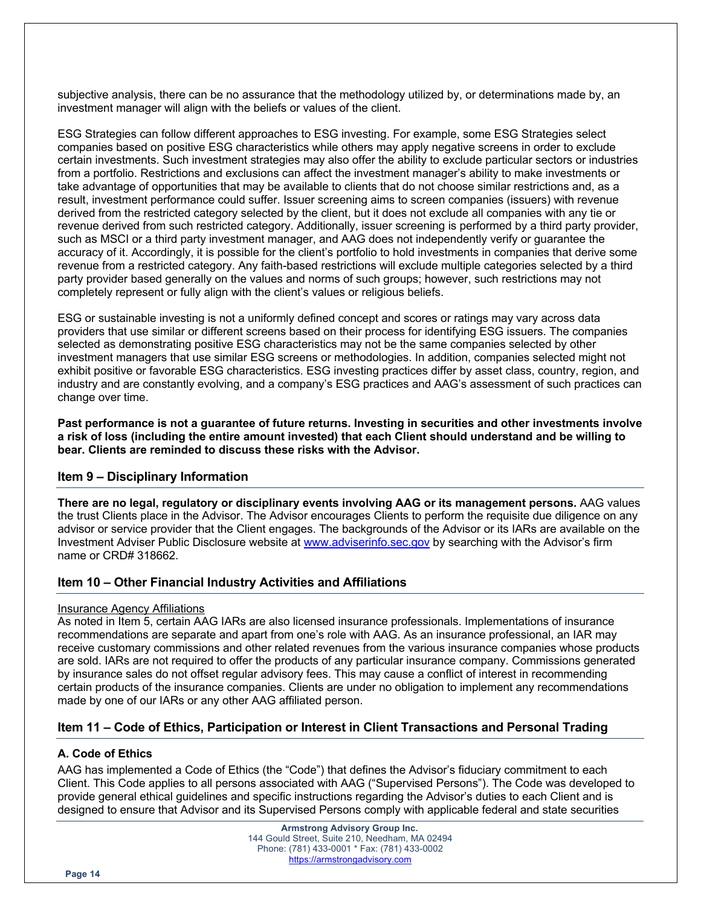subjective analysis, there can be no assurance that the methodology utilized by, or determinations made by, an investment manager will align with the beliefs or values of the client.

ESG Strategies can follow different approaches to ESG investing. For example, some ESG Strategies select companies based on positive ESG characteristics while others may apply negative screens in order to exclude certain investments. Such investment strategies may also offer the ability to exclude particular sectors or industries from a portfolio. Restrictions and exclusions can affect the investment manager's ability to make investments or take advantage of opportunities that may be available to clients that do not choose similar restrictions and, as a result, investment performance could suffer. Issuer screening aims to screen companies (issuers) with revenue derived from the restricted category selected by the client, but it does not exclude all companies with any tie or revenue derived from such restricted category. Additionally, issuer screening is performed by a third party provider, such as MSCI or a third party investment manager, and AAG does not independently verify or guarantee the accuracy of it. Accordingly, it is possible for the client's portfolio to hold investments in companies that derive some revenue from a restricted category. Any faith-based restrictions will exclude multiple categories selected by a third party provider based generally on the values and norms of such groups; however, such restrictions may not completely represent or fully align with the client's values or religious beliefs.

ESG or sustainable investing is not a uniformly defined concept and scores or ratings may vary across data providers that use similar or different screens based on their process for identifying ESG issuers. The companies selected as demonstrating positive ESG characteristics may not be the same companies selected by other investment managers that use similar ESG screens or methodologies. In addition, companies selected might not exhibit positive or favorable ESG characteristics. ESG investing practices differ by asset class, country, region, and industry and are constantly evolving, and a company's ESG practices and AAG's assessment of such practices can change over time.

**Past performance is not a guarantee of future returns. Investing in securities and other investments involve a risk of loss (including the entire amount invested) that each Client should understand and be willing to bear. Clients are reminded to discuss these risks with the Advisor.**

## **Item 9 – Disciplinary Information**

**There are no legal, regulatory or disciplinary events involving AAG or its management persons.** AAG values the trust Clients place in the Advisor. The Advisor encourages Clients to perform the requisite due diligence on any advisor or service provider that the Client engages. The backgrounds of the Advisor or its IARs are available on the Investment Adviser Public Disclosure website at www.adviserinfo.sec.gov by searching with the Advisor's firm name or CRD# 318662.

# **Item 10 – Other Financial Industry Activities and Affiliations**

#### Insurance Agency Affiliations

As noted in Item 5, certain AAG IARs are also licensed insurance professionals. Implementations of insurance recommendations are separate and apart from one's role with AAG. As an insurance professional, an IAR may receive customary commissions and other related revenues from the various insurance companies whose products are sold. IARs are not required to offer the products of any particular insurance company. Commissions generated by insurance sales do not offset regular advisory fees. This may cause a conflict of interest in recommending certain products of the insurance companies. Clients are under no obligation to implement any recommendations made by one of our IARs or any other AAG affiliated person.

# **Item 11 – Code of Ethics, Participation or Interest in Client Transactions and Personal Trading**

## **A. Code of Ethics**

AAG has implemented a Code of Ethics (the "Code") that defines the Advisor's fiduciary commitment to each Client. This Code applies to all persons associated with AAG ("Supervised Persons"). The Code was developed to provide general ethical guidelines and specific instructions regarding the Advisor's duties to each Client and is designed to ensure that Advisor and its Supervised Persons comply with applicable federal and state securities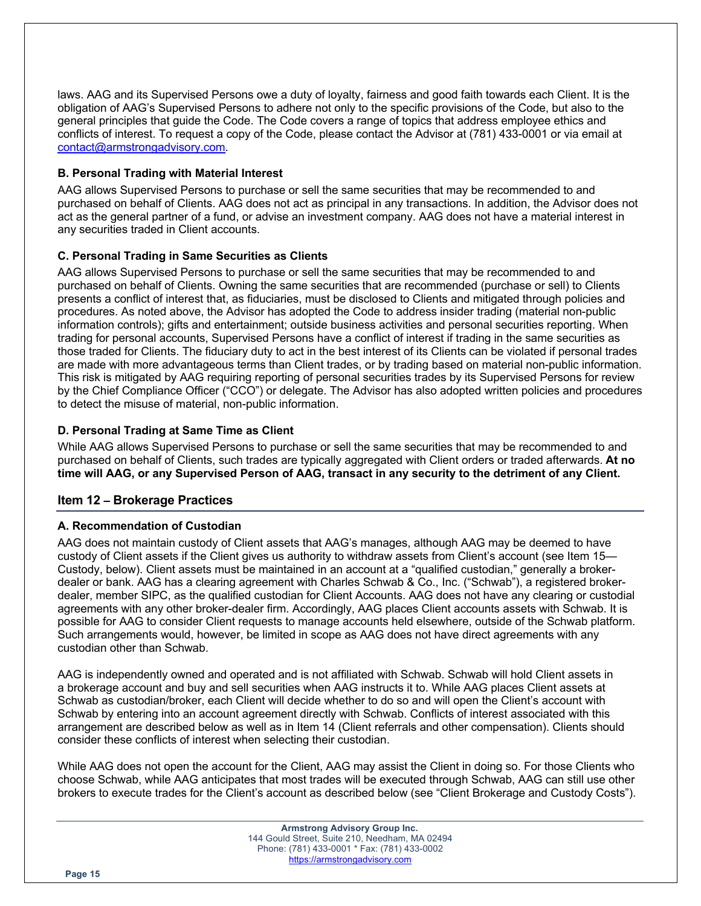laws. AAG and its Supervised Persons owe a duty of loyalty, fairness and good faith towards each Client. It is the obligation of AAG's Supervised Persons to adhere not only to the specific provisions of the Code, but also to the general principles that guide the Code. The Code covers a range of topics that address employee ethics and conflicts of interest. To request a copy of the Code, please contact the Advisor at (781) 433-0001 or via email at contact@armstrongadvisory.com.

## **B. Personal Trading with Material Interest**

AAG allows Supervised Persons to purchase or sell the same securities that may be recommended to and purchased on behalf of Clients. AAG does not act as principal in any transactions. In addition, the Advisor does not act as the general partner of a fund, or advise an investment company. AAG does not have a material interest in any securities traded in Client accounts.

## **C. Personal Trading in Same Securities as Clients**

AAG allows Supervised Persons to purchase or sell the same securities that may be recommended to and purchased on behalf of Clients. Owning the same securities that are recommended (purchase or sell) to Clients presents a conflict of interest that, as fiduciaries, must be disclosed to Clients and mitigated through policies and procedures. As noted above, the Advisor has adopted the Code to address insider trading (material non-public information controls); gifts and entertainment; outside business activities and personal securities reporting. When trading for personal accounts, Supervised Persons have a conflict of interest if trading in the same securities as those traded for Clients. The fiduciary duty to act in the best interest of its Clients can be violated if personal trades are made with more advantageous terms than Client trades, or by trading based on material non-public information. This risk is mitigated by AAG requiring reporting of personal securities trades by its Supervised Persons for review by the Chief Compliance Officer ("CCO") or delegate. The Advisor has also adopted written policies and procedures to detect the misuse of material, non-public information.

## **D. Personal Trading at Same Time as Client**

While AAG allows Supervised Persons to purchase or sell the same securities that may be recommended to and purchased on behalf of Clients, such trades are typically aggregated with Client orders or traded afterwards. **At no time will AAG, or any Supervised Person of AAG, transact in any security to the detriment of any Client.**

# **Item 12 – Brokerage Practices**

## **A. Recommendation of Custodian**

AAG does not maintain custody of Client assets that AAG's manages, although AAG may be deemed to have custody of Client assets if the Client gives us authority to withdraw assets from Client's account (see Item 15— Custody, below). Client assets must be maintained in an account at a "qualified custodian," generally a brokerdealer or bank. AAG has a clearing agreement with Charles Schwab & Co., Inc. ("Schwab"), a registered brokerdealer, member SIPC, as the qualified custodian for Client Accounts. AAG does not have any clearing or custodial agreements with any other broker-dealer firm. Accordingly, AAG places Client accounts assets with Schwab. It is possible for AAG to consider Client requests to manage accounts held elsewhere, outside of the Schwab platform. Such arrangements would, however, be limited in scope as AAG does not have direct agreements with any custodian other than Schwab.

AAG is independently owned and operated and is not affiliated with Schwab. Schwab will hold Client assets in a brokerage account and buy and sell securities when AAG instructs it to. While AAG places Client assets at Schwab as custodian/broker, each Client will decide whether to do so and will open the Client's account with Schwab by entering into an account agreement directly with Schwab. Conflicts of interest associated with this arrangement are described below as well as in Item 14 (Client referrals and other compensation). Clients should consider these conflicts of interest when selecting their custodian.

While AAG does not open the account for the Client, AAG may assist the Client in doing so. For those Clients who choose Schwab, while AAG anticipates that most trades will be executed through Schwab, AAG can still use other brokers to execute trades for the Client's account as described below (see "Client Brokerage and Custody Costs").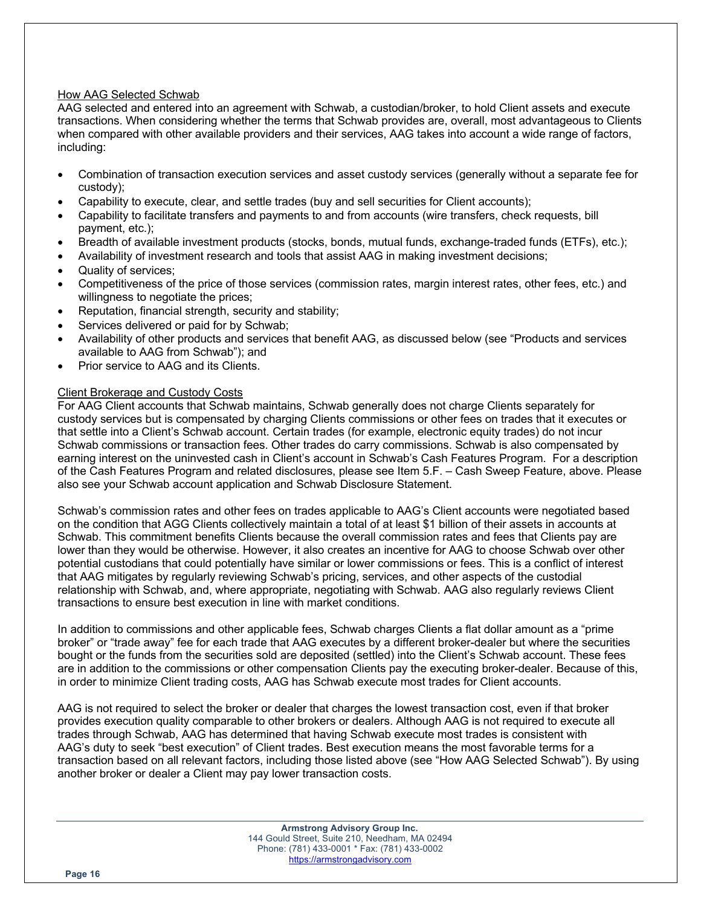## How AAG Selected Schwab

AAG selected and entered into an agreement with Schwab, a custodian/broker, to hold Client assets and execute transactions. When considering whether the terms that Schwab provides are, overall, most advantageous to Clients when compared with other available providers and their services, AAG takes into account a wide range of factors, including:

- Combination of transaction execution services and asset custody services (generally without a separate fee for custody);
- Capability to execute, clear, and settle trades (buy and sell securities for Client accounts);
- Capability to facilitate transfers and payments to and from accounts (wire transfers, check requests, bill payment, etc.);
- Breadth of available investment products (stocks, bonds, mutual funds, exchange-traded funds (ETFs), etc.);
- Availability of investment research and tools that assist AAG in making investment decisions;
- Quality of services;
- Competitiveness of the price of those services (commission rates, margin interest rates, other fees, etc.) and willingness to negotiate the prices;
- Reputation, financial strength, security and stability;
- Services delivered or paid for by Schwab;
- Availability of other products and services that benefit AAG, as discussed below (see "Products and services available to AAG from Schwab"); and
- Prior service to AAG and its Clients.

#### Client Brokerage and Custody Costs

For AAG Client accounts that Schwab maintains, Schwab generally does not charge Clients separately for custody services but is compensated by charging Clients commissions or other fees on trades that it executes or that settle into a Client's Schwab account. Certain trades (for example, electronic equity trades) do not incur Schwab commissions or transaction fees. Other trades do carry commissions. Schwab is also compensated by earning interest on the uninvested cash in Client's account in Schwab's Cash Features Program. For a description of the Cash Features Program and related disclosures, please see Item 5.F. – Cash Sweep Feature, above. Please also see your Schwab account application and Schwab Disclosure Statement.

Schwab's commission rates and other fees on trades applicable to AAG's Client accounts were negotiated based on the condition that AGG Clients collectively maintain a total of at least \$1 billion of their assets in accounts at Schwab. This commitment benefits Clients because the overall commission rates and fees that Clients pay are lower than they would be otherwise. However, it also creates an incentive for AAG to choose Schwab over other potential custodians that could potentially have similar or lower commissions or fees. This is a conflict of interest that AAG mitigates by regularly reviewing Schwab's pricing, services, and other aspects of the custodial relationship with Schwab, and, where appropriate, negotiating with Schwab. AAG also regularly reviews Client transactions to ensure best execution in line with market conditions.

In addition to commissions and other applicable fees, Schwab charges Clients a flat dollar amount as a "prime broker" or "trade away" fee for each trade that AAG executes by a different broker-dealer but where the securities bought or the funds from the securities sold are deposited (settled) into the Client's Schwab account. These fees are in addition to the commissions or other compensation Clients pay the executing broker-dealer. Because of this, in order to minimize Client trading costs, AAG has Schwab execute most trades for Client accounts.

AAG is not required to select the broker or dealer that charges the lowest transaction cost, even if that broker provides execution quality comparable to other brokers or dealers. Although AAG is not required to execute all trades through Schwab, AAG has determined that having Schwab execute most trades is consistent with AAG's duty to seek "best execution" of Client trades. Best execution means the most favorable terms for a transaction based on all relevant factors, including those listed above (see "How AAG Selected Schwab"). By using another broker or dealer a Client may pay lower transaction costs.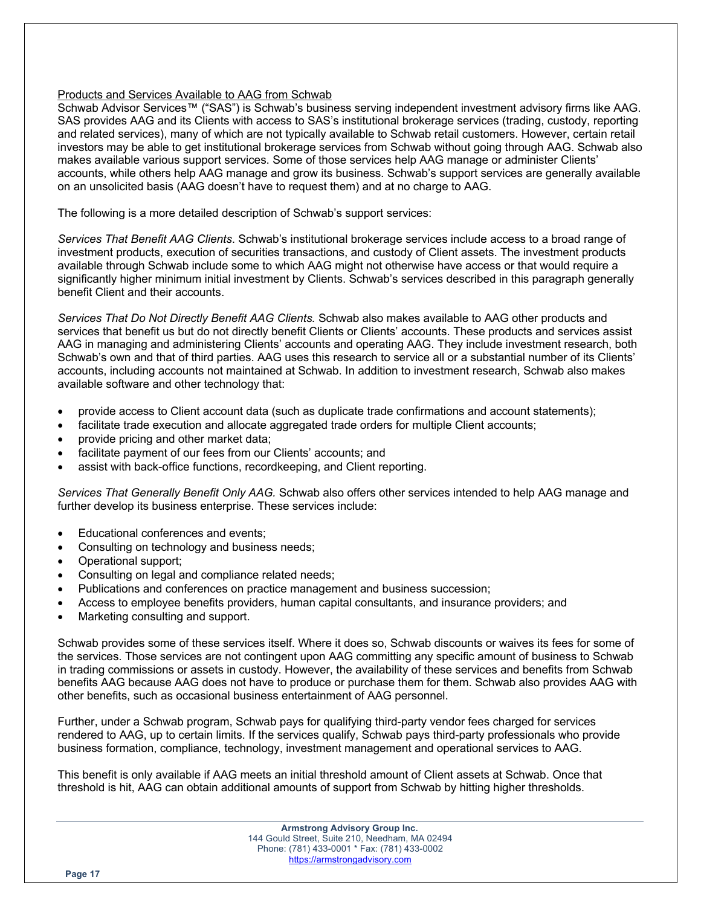## Products and Services Available to AAG from Schwab

Schwab Advisor Services™ ("SAS") is Schwab's business serving independent investment advisory firms like AAG. SAS provides AAG and its Clients with access to SAS's institutional brokerage services (trading, custody, reporting and related services), many of which are not typically available to Schwab retail customers. However, certain retail investors may be able to get institutional brokerage services from Schwab without going through AAG. Schwab also makes available various support services. Some of those services help AAG manage or administer Clients' accounts, while others help AAG manage and grow its business. Schwab's support services are generally available on an unsolicited basis (AAG doesn't have to request them) and at no charge to AAG.

The following is a more detailed description of Schwab's support services:

*Services That Benefit AAG Clients*. Schwab's institutional brokerage services include access to a broad range of investment products, execution of securities transactions, and custody of Client assets. The investment products available through Schwab include some to which AAG might not otherwise have access or that would require a significantly higher minimum initial investment by Clients. Schwab's services described in this paragraph generally benefit Client and their accounts.

*Services That Do Not Directly Benefit AAG Clients.* Schwab also makes available to AAG other products and services that benefit us but do not directly benefit Clients or Clients' accounts. These products and services assist AAG in managing and administering Clients' accounts and operating AAG. They include investment research, both Schwab's own and that of third parties. AAG uses this research to service all or a substantial number of its Clients' accounts, including accounts not maintained at Schwab. In addition to investment research, Schwab also makes available software and other technology that:

- provide access to Client account data (such as duplicate trade confirmations and account statements);
- facilitate trade execution and allocate aggregated trade orders for multiple Client accounts;
- provide pricing and other market data;
- facilitate payment of our fees from our Clients' accounts; and
- assist with back-office functions, recordkeeping, and Client reporting.

*Services That Generally Benefit Only AAG.* Schwab also offers other services intended to help AAG manage and further develop its business enterprise. These services include:

- Educational conferences and events;
- Consulting on technology and business needs;
- Operational support;
- Consulting on legal and compliance related needs;
- Publications and conferences on practice management and business succession;
- Access to employee benefits providers, human capital consultants, and insurance providers; and
- Marketing consulting and support.

Schwab provides some of these services itself. Where it does so, Schwab discounts or waives its fees for some of the services. Those services are not contingent upon AAG committing any specific amount of business to Schwab in trading commissions or assets in custody. However, the availability of these services and benefits from Schwab benefits AAG because AAG does not have to produce or purchase them for them. Schwab also provides AAG with other benefits, such as occasional business entertainment of AAG personnel.

Further, under a Schwab program, Schwab pays for qualifying third-party vendor fees charged for services rendered to AAG, up to certain limits. If the services qualify, Schwab pays third-party professionals who provide business formation, compliance, technology, investment management and operational services to AAG.

This benefit is only available if AAG meets an initial threshold amount of Client assets at Schwab. Once that threshold is hit, AAG can obtain additional amounts of support from Schwab by hitting higher thresholds.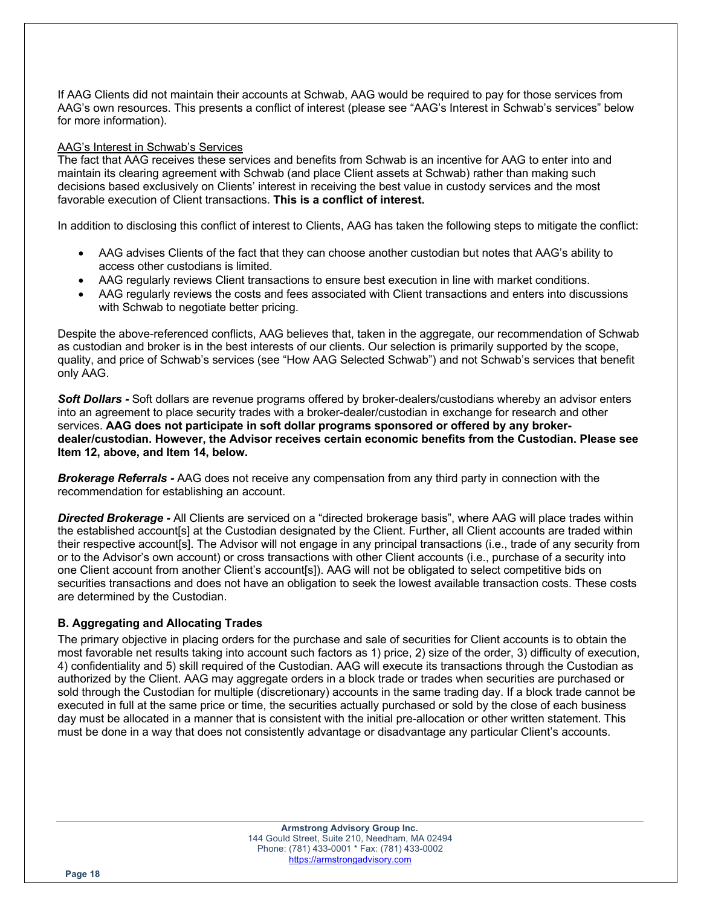If AAG Clients did not maintain their accounts at Schwab, AAG would be required to pay for those services from AAG's own resources. This presents a conflict of interest (please see "AAG's Interest in Schwab's services" below for more information).

#### AAG's Interest in Schwab's Services

The fact that AAG receives these services and benefits from Schwab is an incentive for AAG to enter into and maintain its clearing agreement with Schwab (and place Client assets at Schwab) rather than making such decisions based exclusively on Clients' interest in receiving the best value in custody services and the most favorable execution of Client transactions. **This is a conflict of interest.**

In addition to disclosing this conflict of interest to Clients, AAG has taken the following steps to mitigate the conflict:

- AAG advises Clients of the fact that they can choose another custodian but notes that AAG's ability to access other custodians is limited.
- AAG regularly reviews Client transactions to ensure best execution in line with market conditions.
- AAG regularly reviews the costs and fees associated with Client transactions and enters into discussions with Schwab to negotiate better pricing.

Despite the above-referenced conflicts, AAG believes that, taken in the aggregate, our recommendation of Schwab as custodian and broker is in the best interests of our clients. Our selection is primarily supported by the scope, quality, and price of Schwab's services (see "How AAG Selected Schwab") and not Schwab's services that benefit only AAG.

*Soft Dollars -* Soft dollars are revenue programs offered by broker-dealers/custodians whereby an advisor enters into an agreement to place security trades with a broker-dealer/custodian in exchange for research and other services. **AAG does not participate in soft dollar programs sponsored or offered by any brokerdealer/custodian. However, the Advisor receives certain economic benefits from the Custodian. Please see Item 12, above, and Item 14, below.**

*Brokerage Referrals -* AAG does not receive any compensation from any third party in connection with the recommendation for establishing an account.

*Directed Brokerage -* All Clients are serviced on a "directed brokerage basis", where AAG will place trades within the established account[s] at the Custodian designated by the Client. Further, all Client accounts are traded within their respective account[s]. The Advisor will not engage in any principal transactions (i.e., trade of any security from or to the Advisor's own account) or cross transactions with other Client accounts (i.e., purchase of a security into one Client account from another Client's account[s]). AAG will not be obligated to select competitive bids on securities transactions and does not have an obligation to seek the lowest available transaction costs. These costs are determined by the Custodian.

# **B. Aggregating and Allocating Trades**

The primary objective in placing orders for the purchase and sale of securities for Client accounts is to obtain the most favorable net results taking into account such factors as 1) price, 2) size of the order, 3) difficulty of execution, 4) confidentiality and 5) skill required of the Custodian. AAG will execute its transactions through the Custodian as authorized by the Client. AAG may aggregate orders in a block trade or trades when securities are purchased or sold through the Custodian for multiple (discretionary) accounts in the same trading day. If a block trade cannot be executed in full at the same price or time, the securities actually purchased or sold by the close of each business day must be allocated in a manner that is consistent with the initial pre-allocation or other written statement. This must be done in a way that does not consistently advantage or disadvantage any particular Client's accounts.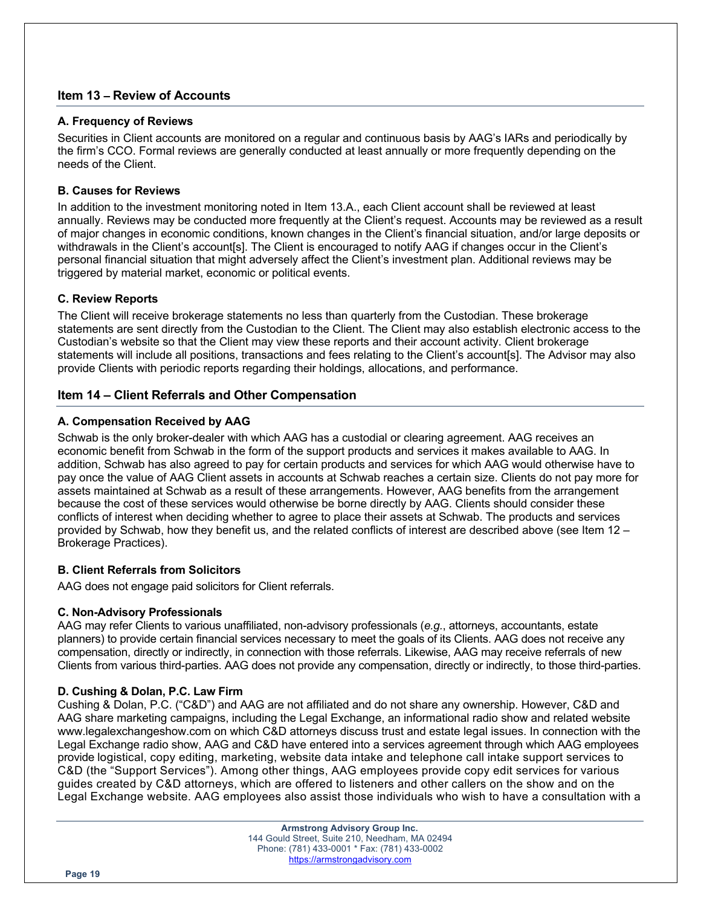## **Item 13 – Review of Accounts**

## **A. Frequency of Reviews**

Securities in Client accounts are monitored on a regular and continuous basis by AAG's IARs and periodically by the firm's CCO. Formal reviews are generally conducted at least annually or more frequently depending on the needs of the Client.

## **B. Causes for Reviews**

In addition to the investment monitoring noted in Item 13.A., each Client account shall be reviewed at least annually. Reviews may be conducted more frequently at the Client's request. Accounts may be reviewed as a result of major changes in economic conditions, known changes in the Client's financial situation, and/or large deposits or withdrawals in the Client's account[s]. The Client is encouraged to notify AAG if changes occur in the Client's personal financial situation that might adversely affect the Client's investment plan. Additional reviews may be triggered by material market, economic or political events.

## **C. Review Reports**

The Client will receive brokerage statements no less than quarterly from the Custodian. These brokerage statements are sent directly from the Custodian to the Client. The Client may also establish electronic access to the Custodian's website so that the Client may view these reports and their account activity. Client brokerage statements will include all positions, transactions and fees relating to the Client's account[s]. The Advisor may also provide Clients with periodic reports regarding their holdings, allocations, and performance.

## **Item 14 – Client Referrals and Other Compensation**

## **A. Compensation Received by AAG**

Schwab is the only broker-dealer with which AAG has a custodial or clearing agreement. AAG receives an economic benefit from Schwab in the form of the support products and services it makes available to AAG. In addition, Schwab has also agreed to pay for certain products and services for which AAG would otherwise have to pay once the value of AAG Client assets in accounts at Schwab reaches a certain size. Clients do not pay more for assets maintained at Schwab as a result of these arrangements. However, AAG benefits from the arrangement because the cost of these services would otherwise be borne directly by AAG. Clients should consider these conflicts of interest when deciding whether to agree to place their assets at Schwab. The products and services provided by Schwab, how they benefit us, and the related conflicts of interest are described above (see Item 12 – Brokerage Practices).

## **B. Client Referrals from Solicitors**

AAG does not engage paid solicitors for Client referrals.

#### **C. Non-Advisory Professionals**

AAG may refer Clients to various unaffiliated, non-advisory professionals (*e.g.*, attorneys, accountants, estate planners) to provide certain financial services necessary to meet the goals of its Clients. AAG does not receive any compensation, directly or indirectly, in connection with those referrals. Likewise, AAG may receive referrals of new Clients from various third-parties. AAG does not provide any compensation, directly or indirectly, to those third-parties.

## **D. Cushing & Dolan, P.C. Law Firm**

Cushing & Dolan, P.C. ("C&D") and AAG are not affiliated and do not share any ownership. However, C&D and AAG share marketing campaigns, including the Legal Exchange, an informational radio show and related website www.legalexchangeshow.com on which C&D attorneys discuss trust and estate legal issues. In connection with the Legal Exchange radio show, AAG and C&D have entered into a services agreement through which AAG employees provide logistical, copy editing, marketing, website data intake and telephone call intake support services to C&D (the "Support Services"). Among other things, AAG employees provide copy edit services for various guides created by C&D attorneys, which are offered to listeners and other callers on the show and on the Legal Exchange website. AAG employees also assist those individuals who wish to have a consultation with a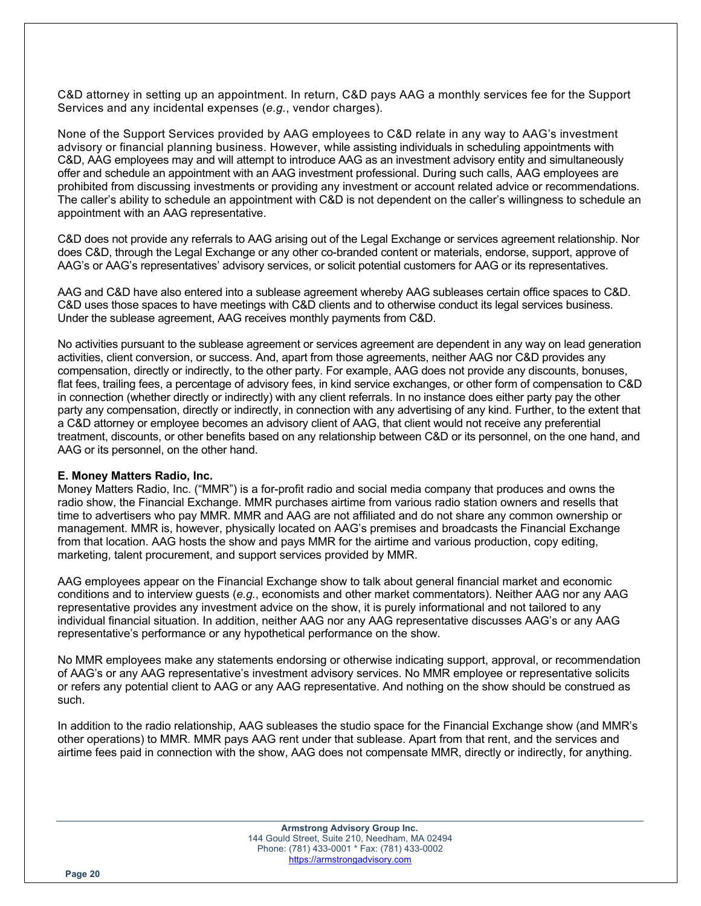C&D attorney in setting up an appointment. In return, C&D pays AAG a monthly services fee for the Support Services and any incidental expenses (*e.g.*, vendor charges).

None of the Support Services provided by AAG employees to C&D relate in any way to AAG's investment advisory or financial planning business. However, while assisting individuals in scheduling appointments with C&D, AAG employees may and will attempt to introduce AAG as an investment advisory entity and simultaneously offer and schedule an appointment with an AAG investment professional. During such calls, AAG employees are prohibited from discussing investments or providing any investment or account related advice or recommendations. The caller's ability to schedule an appointment with C&D is not dependent on the caller's willingness to schedule an appointment with an AAG representative.

C&D does not provide any referrals to AAG arising out of the Legal Exchange or services agreement relationship. Nor does C&D, through the Legal Exchange or any other co-branded content or materials, endorse, support, approve of AAG's or AAG's representatives' advisory services, or solicit potential customers for AAG or its representatives.

AAG and C&D have also entered into a sublease agreement whereby AAG subleases certain office spaces to C&D. C&D uses those spaces to have meetings with C&D clients and to otherwise conduct its legal services business. Under the sublease agreement, AAG receives monthly payments from C&D.

No activities pursuant to the sublease agreement or services agreement are dependent in any way on lead generation activities, client conversion, or success. And, apart from those agreements, neither AAG nor C&D provides any compensation, directly or indirectly, to the other party. For example, AAG does not provide any discounts, bonuses, flat fees, trailing fees, a percentage of advisory fees, in kind service exchanges, or other form of compensation to C&D in connection (whether directly or indirectly) with any client referrals. In no instance does either party pay the other party any compensation, directly or indirectly, in connection with any advertising of any kind. Further, to the extent that a C&D attorney or employee becomes an advisory client of AAG, that client would not receive any preferential treatment, discounts, or other benefits based on any relationship between C&D or its personnel, on the one hand, and AAG or its personnel, on the other hand.

#### **E. Money Matters Radio, Inc.**

Money Matters Radio, Inc. ("MMR") is a for-profit radio and social media company that produces and owns the radio show, the Financial Exchange. MMR purchases airtime from various radio station owners and resells that time to advertisers who pay MMR. MMR and AAG are not affiliated and do not share any common ownership or management. MMR is, however, physically located on AAG's premises and broadcasts the Financial Exchange from that location. AAG hosts the show and pays MMR for the airtime and various production, copy editing, marketing, talent procurement, and support services provided by MMR.

AAG employees appear on the Financial Exchange show to talk about general financial market and economic conditions and to interview guests (*e.g.*, economists and other market commentators). Neither AAG nor any AAG representative provides any investment advice on the show, it is purely informational and not tailored to any individual financial situation. In addition, neither AAG nor any AAG representative discusses AAG's or any AAG representative's performance or any hypothetical performance on the show.

No MMR employees make any statements endorsing or otherwise indicating support, approval, or recommendation of AAG's or any AAG representative's investment advisory services. No MMR employee or representative solicits or refers any potential client to AAG or any AAG representative. And nothing on the show should be construed as such.

In addition to the radio relationship, AAG subleases the studio space for the Financial Exchange show (and MMR's other operations) to MMR. MMR pays AAG rent under that sublease. Apart from that rent, and the services and airtime fees paid in connection with the show, AAG does not compensate MMR, directly or indirectly, for anything.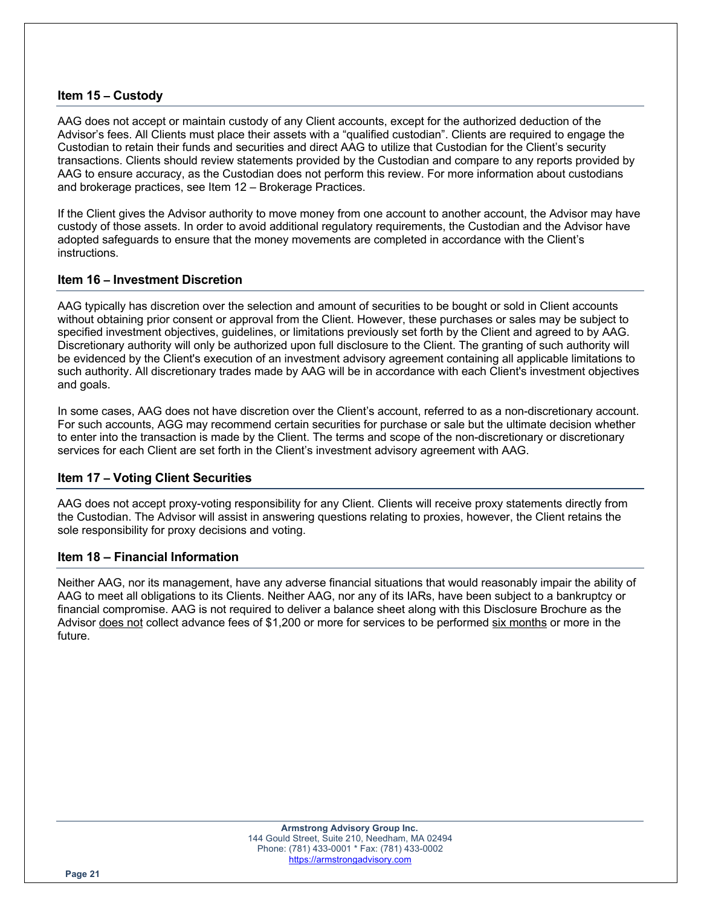## **Item 15 – Custody**

AAG does not accept or maintain custody of any Client accounts, except for the authorized deduction of the Advisor's fees. All Clients must place their assets with a "qualified custodian". Clients are required to engage the Custodian to retain their funds and securities and direct AAG to utilize that Custodian for the Client's security transactions. Clients should review statements provided by the Custodian and compare to any reports provided by AAG to ensure accuracy, as the Custodian does not perform this review. For more information about custodians and brokerage practices, see Item 12 – Brokerage Practices.

If the Client gives the Advisor authority to move money from one account to another account, the Advisor may have custody of those assets. In order to avoid additional regulatory requirements, the Custodian and the Advisor have adopted safeguards to ensure that the money movements are completed in accordance with the Client's instructions.

## **Item 16 – Investment Discretion**

AAG typically has discretion over the selection and amount of securities to be bought or sold in Client accounts without obtaining prior consent or approval from the Client. However, these purchases or sales may be subject to specified investment objectives, guidelines, or limitations previously set forth by the Client and agreed to by AAG. Discretionary authority will only be authorized upon full disclosure to the Client. The granting of such authority will be evidenced by the Client's execution of an investment advisory agreement containing all applicable limitations to such authority. All discretionary trades made by AAG will be in accordance with each Client's investment objectives and goals.

In some cases, AAG does not have discretion over the Client's account, referred to as a non-discretionary account. For such accounts, AGG may recommend certain securities for purchase or sale but the ultimate decision whether to enter into the transaction is made by the Client. The terms and scope of the non-discretionary or discretionary services for each Client are set forth in the Client's investment advisory agreement with AAG.

## **Item 17 – Voting Client Securities**

AAG does not accept proxy-voting responsibility for any Client. Clients will receive proxy statements directly from the Custodian. The Advisor will assist in answering questions relating to proxies, however, the Client retains the sole responsibility for proxy decisions and voting.

## **Item 18 – Financial Information**

Neither AAG, nor its management, have any adverse financial situations that would reasonably impair the ability of AAG to meet all obligations to its Clients. Neither AAG, nor any of its IARs, have been subject to a bankruptcy or financial compromise. AAG is not required to deliver a balance sheet along with this Disclosure Brochure as the Advisor does not collect advance fees of \$1,200 or more for services to be performed six months or more in the future.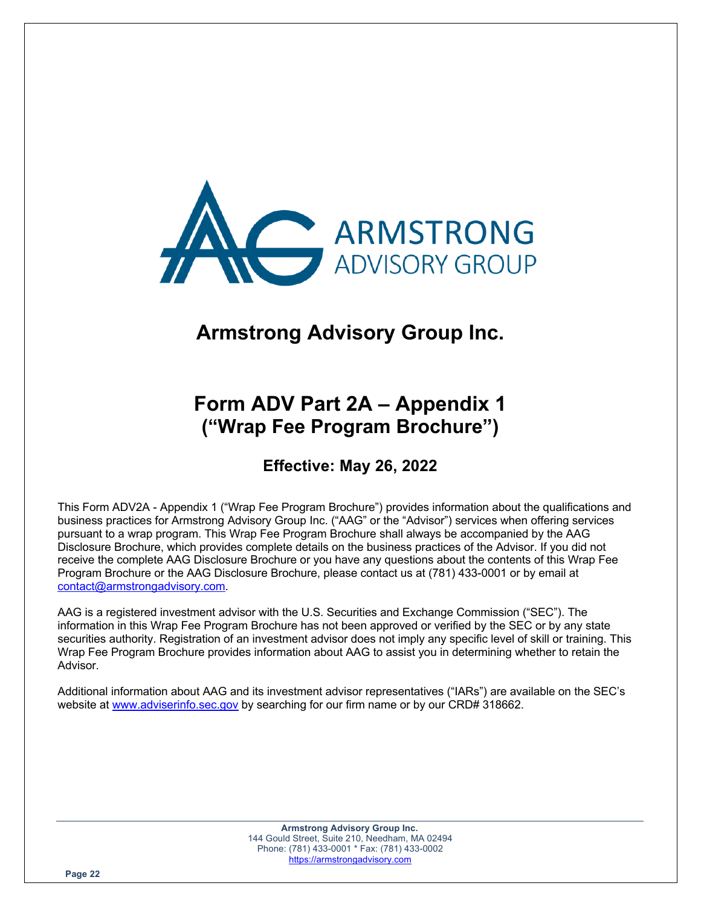

# **Armstrong Advisory Group Inc.**

# **Form ADV Part 2A – Appendix 1 ("Wrap Fee Program Brochure")**

**Effective: May 26, 2022**

This Form ADV2A - Appendix 1 ("Wrap Fee Program Brochure") provides information about the qualifications and business practices for Armstrong Advisory Group Inc. ("AAG" or the "Advisor") services when offering services pursuant to a wrap program. This Wrap Fee Program Brochure shall always be accompanied by the AAG Disclosure Brochure, which provides complete details on the business practices of the Advisor. If you did not receive the complete AAG Disclosure Brochure or you have any questions about the contents of this Wrap Fee Program Brochure or the AAG Disclosure Brochure, please contact us at (781) 433-0001 or by email at contact@armstrongadvisory.com.

AAG is a registered investment advisor with the U.S. Securities and Exchange Commission ("SEC"). The information in this Wrap Fee Program Brochure has not been approved or verified by the SEC or by any state securities authority. Registration of an investment advisor does not imply any specific level of skill or training. This Wrap Fee Program Brochure provides information about AAG to assist you in determining whether to retain the Advisor.

Additional information about AAG and its investment advisor representatives ("IARs") are available on the SEC's website at www.adviserinfo.sec.gov by searching for our firm name or by our CRD# 318662.

> **Armstrong Advisory Group Inc.** 144 Gould Street, Suite 210, Needham, MA 02494 Phone: (781) 433-0001 \* Fax: (781) 433-0002 https://armstrongadvisory.com

**Page 22**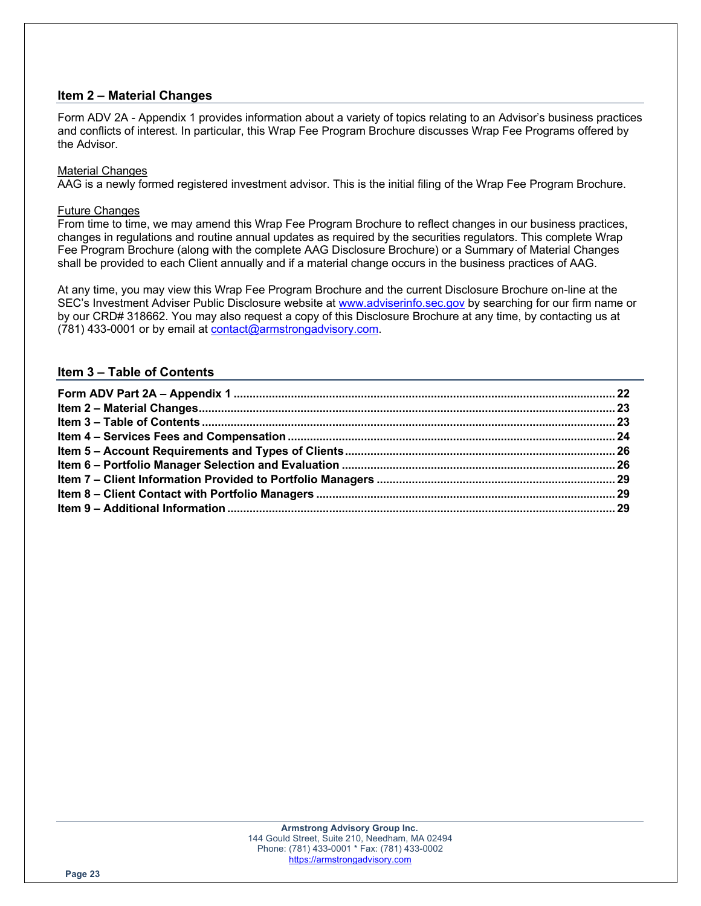# **Item 2 – Material Changes**

Form ADV 2A - Appendix 1 provides information about a variety of topics relating to an Advisor's business practices and conflicts of interest. In particular, this Wrap Fee Program Brochure discusses Wrap Fee Programs offered by the Advisor.

#### Material Changes

AAG is a newly formed registered investment advisor. This is the initial filing of the Wrap Fee Program Brochure.

## Future Changes

From time to time, we may amend this Wrap Fee Program Brochure to reflect changes in our business practices, changes in regulations and routine annual updates as required by the securities regulators. This complete Wrap Fee Program Brochure (along with the complete AAG Disclosure Brochure) or a Summary of Material Changes shall be provided to each Client annually and if a material change occurs in the business practices of AAG.

At any time, you may view this Wrap Fee Program Brochure and the current Disclosure Brochure on-line at the SEC's Investment Adviser Public Disclosure website at www.adviserinfo.sec.gov by searching for our firm name or by our CRD# 318662. You may also request a copy of this Disclosure Brochure at any time, by contacting us at (781) 433-0001 or by email at contact@armstrongadvisory.com.

## **Item 3 – Table of Contents**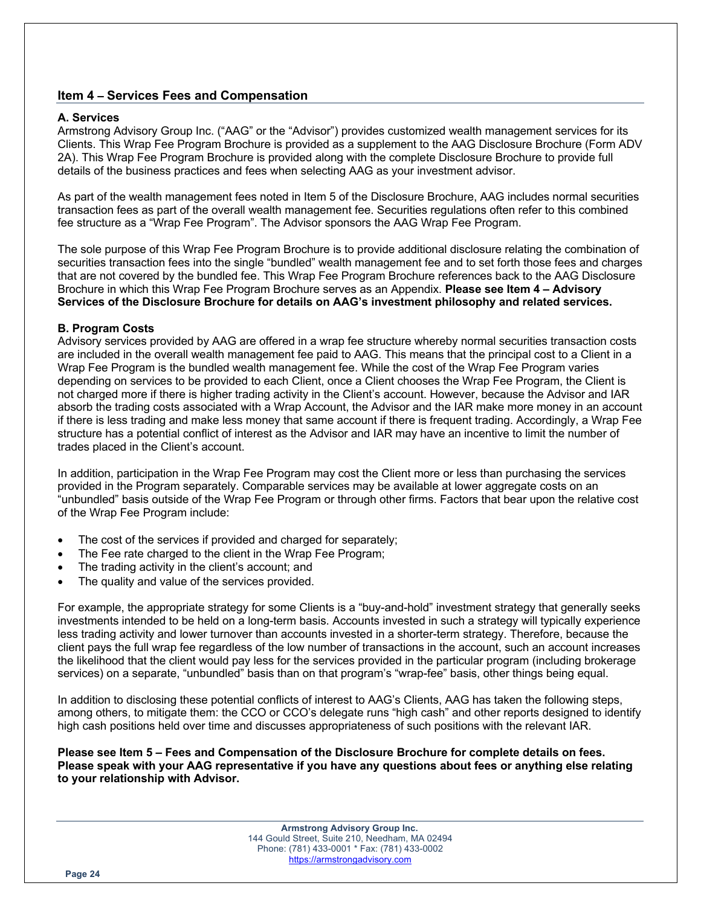## **Item 4 – Services Fees and Compensation**

#### **A. Services**

Armstrong Advisory Group Inc. ("AAG" or the "Advisor") provides customized wealth management services for its Clients. This Wrap Fee Program Brochure is provided as a supplement to the AAG Disclosure Brochure (Form ADV 2A). This Wrap Fee Program Brochure is provided along with the complete Disclosure Brochure to provide full details of the business practices and fees when selecting AAG as your investment advisor.

As part of the wealth management fees noted in Item 5 of the Disclosure Brochure, AAG includes normal securities transaction fees as part of the overall wealth management fee. Securities regulations often refer to this combined fee structure as a "Wrap Fee Program". The Advisor sponsors the AAG Wrap Fee Program.

The sole purpose of this Wrap Fee Program Brochure is to provide additional disclosure relating the combination of securities transaction fees into the single "bundled" wealth management fee and to set forth those fees and charges that are not covered by the bundled fee. This Wrap Fee Program Brochure references back to the AAG Disclosure Brochure in which this Wrap Fee Program Brochure serves as an Appendix. **Please see Item 4 – Advisory Services of the Disclosure Brochure for details on AAG's investment philosophy and related services.**

## **B. Program Costs**

Advisory services provided by AAG are offered in a wrap fee structure whereby normal securities transaction costs are included in the overall wealth management fee paid to AAG. This means that the principal cost to a Client in a Wrap Fee Program is the bundled wealth management fee. While the cost of the Wrap Fee Program varies depending on services to be provided to each Client, once a Client chooses the Wrap Fee Program, the Client is not charged more if there is higher trading activity in the Client's account. However, because the Advisor and IAR absorb the trading costs associated with a Wrap Account, the Advisor and the IAR make more money in an account if there is less trading and make less money that same account if there is frequent trading. Accordingly, a Wrap Fee structure has a potential conflict of interest as the Advisor and IAR may have an incentive to limit the number of trades placed in the Client's account.

In addition, participation in the Wrap Fee Program may cost the Client more or less than purchasing the services provided in the Program separately. Comparable services may be available at lower aggregate costs on an "unbundled" basis outside of the Wrap Fee Program or through other firms. Factors that bear upon the relative cost of the Wrap Fee Program include:

- The cost of the services if provided and charged for separately;
- The Fee rate charged to the client in the Wrap Fee Program;
- The trading activity in the client's account; and
- The quality and value of the services provided.

For example, the appropriate strategy for some Clients is a "buy-and-hold" investment strategy that generally seeks investments intended to be held on a long-term basis. Accounts invested in such a strategy will typically experience less trading activity and lower turnover than accounts invested in a shorter-term strategy. Therefore, because the client pays the full wrap fee regardless of the low number of transactions in the account, such an account increases the likelihood that the client would pay less for the services provided in the particular program (including brokerage services) on a separate, "unbundled" basis than on that program's "wrap-fee" basis, other things being equal.

In addition to disclosing these potential conflicts of interest to AAG's Clients, AAG has taken the following steps, among others, to mitigate them: the CCO or CCO's delegate runs "high cash" and other reports designed to identify high cash positions held over time and discusses appropriateness of such positions with the relevant IAR.

**Please see Item 5 – Fees and Compensation of the Disclosure Brochure for complete details on fees. Please speak with your AAG representative if you have any questions about fees or anything else relating to your relationship with Advisor.**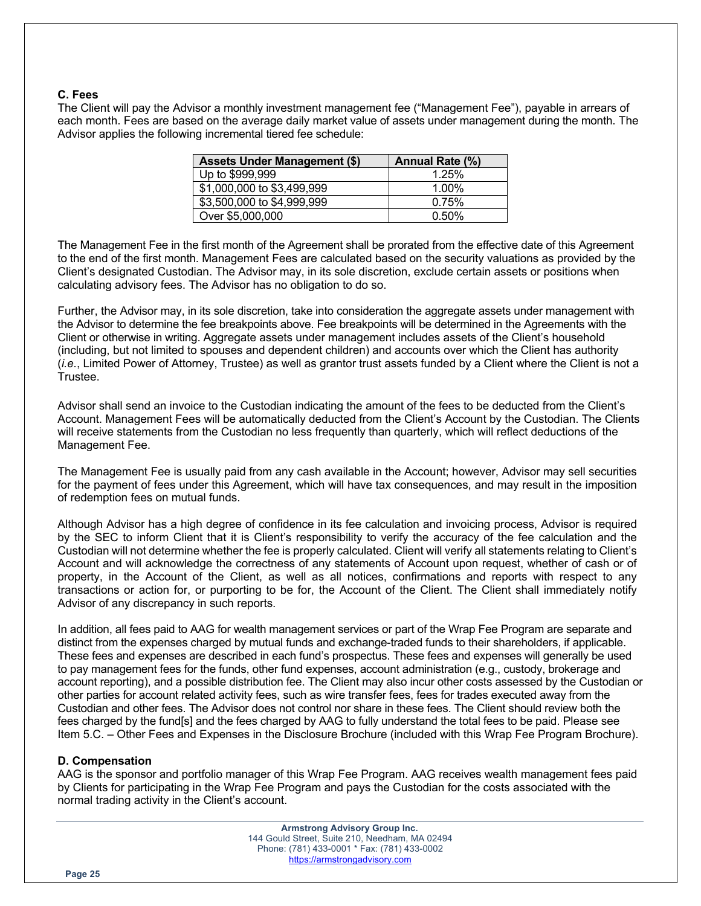## **C. Fees**

The Client will pay the Advisor a monthly investment management fee ("Management Fee"), payable in arrears of each month. Fees are based on the average daily market value of assets under management during the month. The Advisor applies the following incremental tiered fee schedule:

| <b>Assets Under Management (\$)</b> | Annual Rate (%) |
|-------------------------------------|-----------------|
| Up to \$999,999                     | 1.25%           |
| \$1,000,000 to \$3,499,999          | $1.00\%$        |
| \$3,500,000 to \$4,999,999          | 0.75%           |
| Over \$5,000,000                    | 0.50%           |

The Management Fee in the first month of the Agreement shall be prorated from the effective date of this Agreement to the end of the first month. Management Fees are calculated based on the security valuations as provided by the Client's designated Custodian. The Advisor may, in its sole discretion, exclude certain assets or positions when calculating advisory fees. The Advisor has no obligation to do so.

Further, the Advisor may, in its sole discretion, take into consideration the aggregate assets under management with the Advisor to determine the fee breakpoints above. Fee breakpoints will be determined in the Agreements with the Client or otherwise in writing. Aggregate assets under management includes assets of the Client's household (including, but not limited to spouses and dependent children) and accounts over which the Client has authority (*i.e.*, Limited Power of Attorney, Trustee) as well as grantor trust assets funded by a Client where the Client is not a Trustee.

Advisor shall send an invoice to the Custodian indicating the amount of the fees to be deducted from the Client's Account. Management Fees will be automatically deducted from the Client's Account by the Custodian. The Clients will receive statements from the Custodian no less frequently than quarterly, which will reflect deductions of the Management Fee.

The Management Fee is usually paid from any cash available in the Account; however, Advisor may sell securities for the payment of fees under this Agreement, which will have tax consequences, and may result in the imposition of redemption fees on mutual funds.

Although Advisor has a high degree of confidence in its fee calculation and invoicing process, Advisor is required by the SEC to inform Client that it is Client's responsibility to verify the accuracy of the fee calculation and the Custodian will not determine whether the fee is properly calculated. Client will verify all statements relating to Client's Account and will acknowledge the correctness of any statements of Account upon request, whether of cash or of property, in the Account of the Client, as well as all notices, confirmations and reports with respect to any transactions or action for, or purporting to be for, the Account of the Client. The Client shall immediately notify Advisor of any discrepancy in such reports.

In addition, all fees paid to AAG for wealth management services or part of the Wrap Fee Program are separate and distinct from the expenses charged by mutual funds and exchange-traded funds to their shareholders, if applicable. These fees and expenses are described in each fund's prospectus. These fees and expenses will generally be used to pay management fees for the funds, other fund expenses, account administration (e.g., custody, brokerage and account reporting), and a possible distribution fee. The Client may also incur other costs assessed by the Custodian or other parties for account related activity fees, such as wire transfer fees, fees for trades executed away from the Custodian and other fees. The Advisor does not control nor share in these fees. The Client should review both the fees charged by the fund[s] and the fees charged by AAG to fully understand the total fees to be paid. Please see Item 5.C. – Other Fees and Expenses in the Disclosure Brochure (included with this Wrap Fee Program Brochure).

## **D. Compensation**

AAG is the sponsor and portfolio manager of this Wrap Fee Program. AAG receives wealth management fees paid by Clients for participating in the Wrap Fee Program and pays the Custodian for the costs associated with the normal trading activity in the Client's account.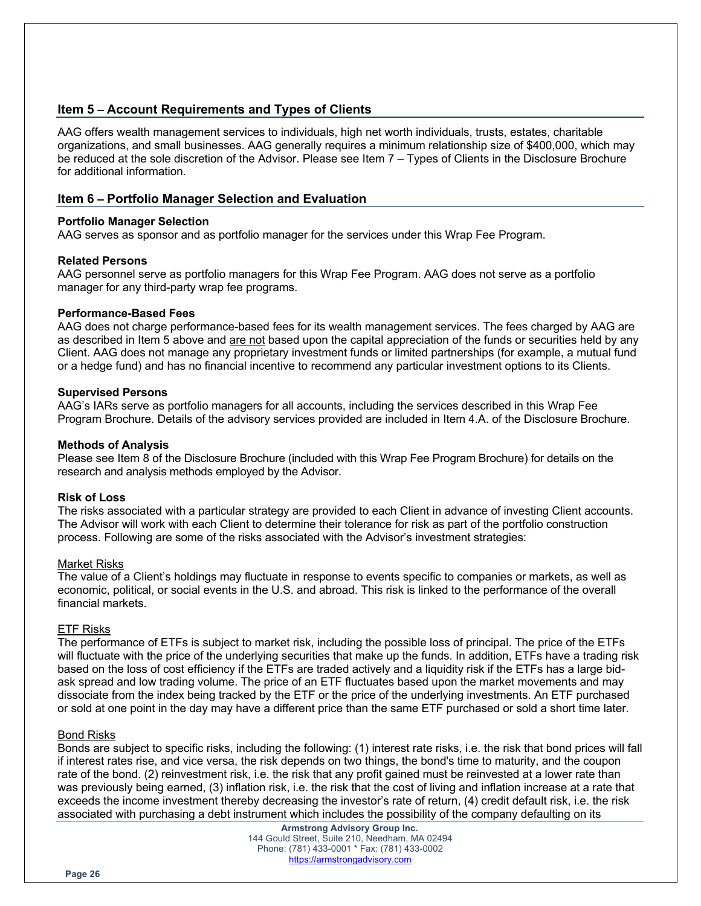# **Item 5 – Account Requirements and Types of Clients**

AAG offers wealth management services to individuals, high net worth individuals, trusts, estates, charitable organizations, and small businesses. AAG generally requires a minimum relationship size of \$400,000, which may be reduced at the sole discretion of the Advisor. Please see Item 7 – Types of Clients in the Disclosure Brochure for additional information.

## **Item 6 – Portfolio Manager Selection and Evaluation**

#### **Portfolio Manager Selection**

AAG serves as sponsor and as portfolio manager for the services under this Wrap Fee Program.

## **Related Persons**

AAG personnel serve as portfolio managers for this Wrap Fee Program. AAG does not serve as a portfolio manager for any third-party wrap fee programs.

## **Performance-Based Fees**

AAG does not charge performance-based fees for its wealth management services. The fees charged by AAG are as described in Item 5 above and are not based upon the capital appreciation of the funds or securities held by any Client. AAG does not manage any proprietary investment funds or limited partnerships (for example, a mutual fund or a hedge fund) and has no financial incentive to recommend any particular investment options to its Clients.

## **Supervised Persons**

AAG's IARs serve as portfolio managers for all accounts, including the services described in this Wrap Fee Program Brochure. Details of the advisory services provided are included in Item 4.A. of the Disclosure Brochure.

## **Methods of Analysis**

Please see Item 8 of the Disclosure Brochure (included with this Wrap Fee Program Brochure) for details on the research and analysis methods employed by the Advisor.

## **Risk of Loss**

The risks associated with a particular strategy are provided to each Client in advance of investing Client accounts. The Advisor will work with each Client to determine their tolerance for risk as part of the portfolio construction process. Following are some of the risks associated with the Advisor's investment strategies:

#### Market Risks

The value of a Client's holdings may fluctuate in response to events specific to companies or markets, as well as economic, political, or social events in the U.S. and abroad. This risk is linked to the performance of the overall financial markets.

#### ETF Risks

The performance of ETFs is subject to market risk, including the possible loss of principal. The price of the ETFs will fluctuate with the price of the underlying securities that make up the funds. In addition, ETFs have a trading risk based on the loss of cost efficiency if the ETFs are traded actively and a liquidity risk if the ETFs has a large bidask spread and low trading volume. The price of an ETF fluctuates based upon the market movements and may dissociate from the index being tracked by the ETF or the price of the underlying investments. An ETF purchased or sold at one point in the day may have a different price than the same ETF purchased or sold a short time later.

#### Bond Risks

Bonds are subject to specific risks, including the following: (1) interest rate risks, i.e. the risk that bond prices will fall if interest rates rise, and vice versa, the risk depends on two things, the bond's time to maturity, and the coupon rate of the bond. (2) reinvestment risk, i.e. the risk that any profit gained must be reinvested at a lower rate than was previously being earned, (3) inflation risk, i.e. the risk that the cost of living and inflation increase at a rate that exceeds the income investment thereby decreasing the investor's rate of return, (4) credit default risk, i.e. the risk associated with purchasing a debt instrument which includes the possibility of the company defaulting on its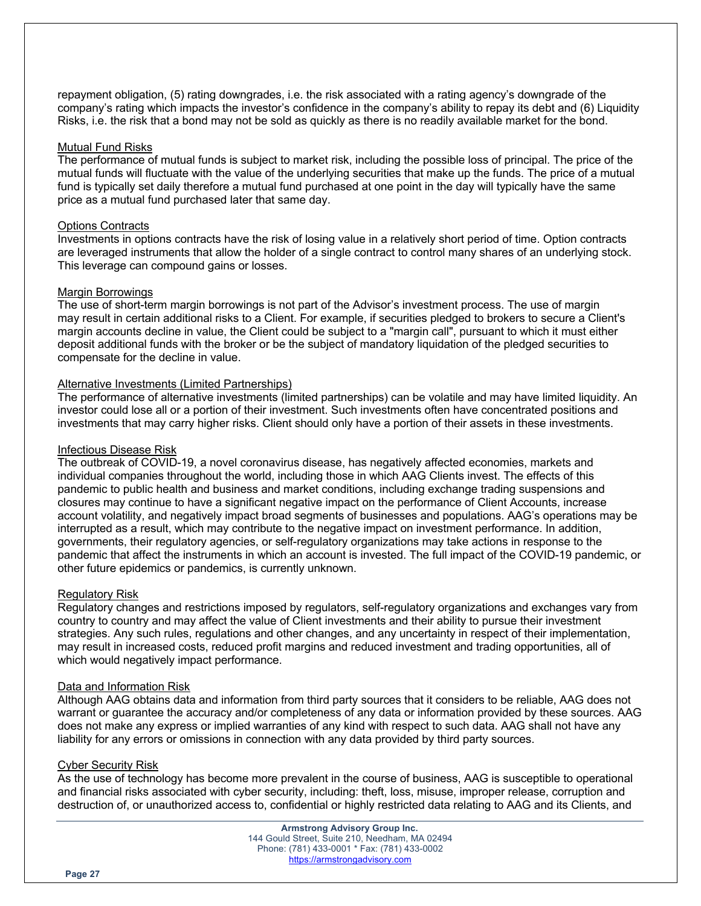repayment obligation, (5) rating downgrades, i.e. the risk associated with a rating agency's downgrade of the company's rating which impacts the investor's confidence in the company's ability to repay its debt and (6) Liquidity Risks, i.e. the risk that a bond may not be sold as quickly as there is no readily available market for the bond.

#### Mutual Fund Risks

The performance of mutual funds is subject to market risk, including the possible loss of principal. The price of the mutual funds will fluctuate with the value of the underlying securities that make up the funds. The price of a mutual fund is typically set daily therefore a mutual fund purchased at one point in the day will typically have the same price as a mutual fund purchased later that same day.

#### Options Contracts

Investments in options contracts have the risk of losing value in a relatively short period of time. Option contracts are leveraged instruments that allow the holder of a single contract to control many shares of an underlying stock. This leverage can compound gains or losses.

#### Margin Borrowings

The use of short-term margin borrowings is not part of the Advisor's investment process. The use of margin may result in certain additional risks to a Client. For example, if securities pledged to brokers to secure a Client's margin accounts decline in value, the Client could be subject to a "margin call", pursuant to which it must either deposit additional funds with the broker or be the subject of mandatory liquidation of the pledged securities to compensate for the decline in value.

#### Alternative Investments (Limited Partnerships)

The performance of alternative investments (limited partnerships) can be volatile and may have limited liquidity. An investor could lose all or a portion of their investment. Such investments often have concentrated positions and investments that may carry higher risks. Client should only have a portion of their assets in these investments.

#### Infectious Disease Risk

The outbreak of COVID-19, a novel coronavirus disease, has negatively affected economies, markets and individual companies throughout the world, including those in which AAG Clients invest. The effects of this pandemic to public health and business and market conditions, including exchange trading suspensions and closures may continue to have a significant negative impact on the performance of Client Accounts, increase account volatility, and negatively impact broad segments of businesses and populations. AAG's operations may be interrupted as a result, which may contribute to the negative impact on investment performance. In addition, governments, their regulatory agencies, or self-regulatory organizations may take actions in response to the pandemic that affect the instruments in which an account is invested. The full impact of the COVID-19 pandemic, or other future epidemics or pandemics, is currently unknown.

#### Regulatory Risk

Regulatory changes and restrictions imposed by regulators, self-regulatory organizations and exchanges vary from country to country and may affect the value of Client investments and their ability to pursue their investment strategies. Any such rules, regulations and other changes, and any uncertainty in respect of their implementation, may result in increased costs, reduced profit margins and reduced investment and trading opportunities, all of which would negatively impact performance.

#### Data and Information Risk

Although AAG obtains data and information from third party sources that it considers to be reliable, AAG does not warrant or guarantee the accuracy and/or completeness of any data or information provided by these sources. AAG does not make any express or implied warranties of any kind with respect to such data. AAG shall not have any liability for any errors or omissions in connection with any data provided by third party sources.

#### Cyber Security Risk

As the use of technology has become more prevalent in the course of business, AAG is susceptible to operational and financial risks associated with cyber security, including: theft, loss, misuse, improper release, corruption and destruction of, or unauthorized access to, confidential or highly restricted data relating to AAG and its Clients, and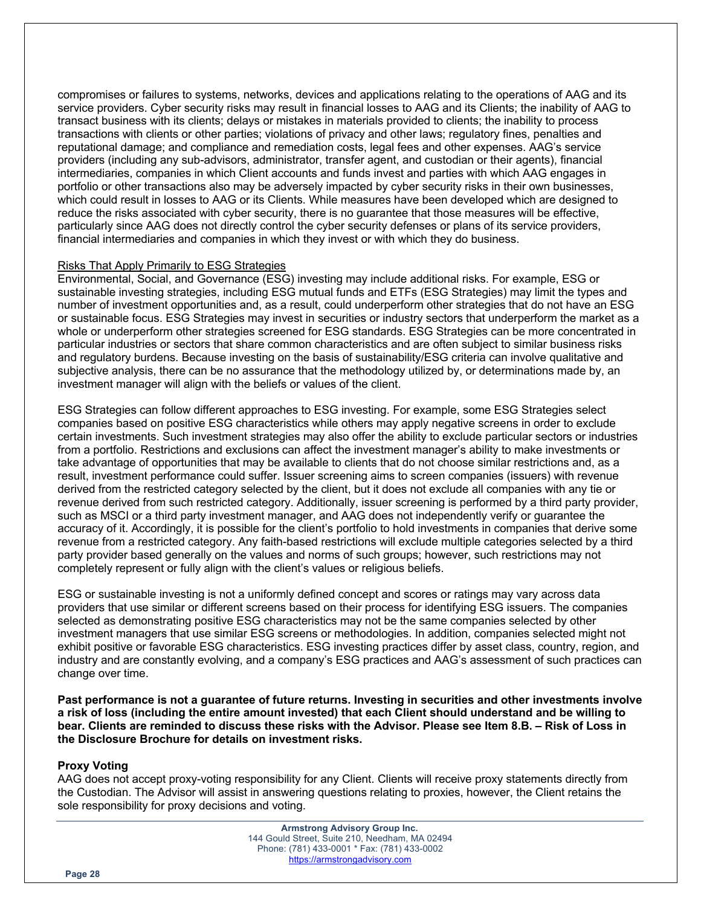compromises or failures to systems, networks, devices and applications relating to the operations of AAG and its service providers. Cyber security risks may result in financial losses to AAG and its Clients; the inability of AAG to transact business with its clients; delays or mistakes in materials provided to clients; the inability to process transactions with clients or other parties; violations of privacy and other laws; regulatory fines, penalties and reputational damage; and compliance and remediation costs, legal fees and other expenses. AAG's service providers (including any sub-advisors, administrator, transfer agent, and custodian or their agents), financial intermediaries, companies in which Client accounts and funds invest and parties with which AAG engages in portfolio or other transactions also may be adversely impacted by cyber security risks in their own businesses, which could result in losses to AAG or its Clients. While measures have been developed which are designed to reduce the risks associated with cyber security, there is no guarantee that those measures will be effective, particularly since AAG does not directly control the cyber security defenses or plans of its service providers, financial intermediaries and companies in which they invest or with which they do business.

## Risks That Apply Primarily to ESG Strategies

Environmental, Social, and Governance (ESG) investing may include additional risks. For example, ESG or sustainable investing strategies, including ESG mutual funds and ETFs (ESG Strategies) may limit the types and number of investment opportunities and, as a result, could underperform other strategies that do not have an ESG or sustainable focus. ESG Strategies may invest in securities or industry sectors that underperform the market as a whole or underperform other strategies screened for ESG standards. ESG Strategies can be more concentrated in particular industries or sectors that share common characteristics and are often subject to similar business risks and regulatory burdens. Because investing on the basis of sustainability/ESG criteria can involve qualitative and subjective analysis, there can be no assurance that the methodology utilized by, or determinations made by, an investment manager will align with the beliefs or values of the client.

ESG Strategies can follow different approaches to ESG investing. For example, some ESG Strategies select companies based on positive ESG characteristics while others may apply negative screens in order to exclude certain investments. Such investment strategies may also offer the ability to exclude particular sectors or industries from a portfolio. Restrictions and exclusions can affect the investment manager's ability to make investments or take advantage of opportunities that may be available to clients that do not choose similar restrictions and, as a result, investment performance could suffer. Issuer screening aims to screen companies (issuers) with revenue derived from the restricted category selected by the client, but it does not exclude all companies with any tie or revenue derived from such restricted category. Additionally, issuer screening is performed by a third party provider, such as MSCI or a third party investment manager, and AAG does not independently verify or guarantee the accuracy of it. Accordingly, it is possible for the client's portfolio to hold investments in companies that derive some revenue from a restricted category. Any faith-based restrictions will exclude multiple categories selected by a third party provider based generally on the values and norms of such groups; however, such restrictions may not completely represent or fully align with the client's values or religious beliefs.

ESG or sustainable investing is not a uniformly defined concept and scores or ratings may vary across data providers that use similar or different screens based on their process for identifying ESG issuers. The companies selected as demonstrating positive ESG characteristics may not be the same companies selected by other investment managers that use similar ESG screens or methodologies. In addition, companies selected might not exhibit positive or favorable ESG characteristics. ESG investing practices differ by asset class, country, region, and industry and are constantly evolving, and a company's ESG practices and AAG's assessment of such practices can change over time.

**Past performance is not a guarantee of future returns. Investing in securities and other investments involve a risk of loss (including the entire amount invested) that each Client should understand and be willing to bear. Clients are reminded to discuss these risks with the Advisor. Please see Item 8.B. – Risk of Loss in the Disclosure Brochure for details on investment risks.**

#### **Proxy Voting**

AAG does not accept proxy-voting responsibility for any Client. Clients will receive proxy statements directly from the Custodian. The Advisor will assist in answering questions relating to proxies, however, the Client retains the sole responsibility for proxy decisions and voting.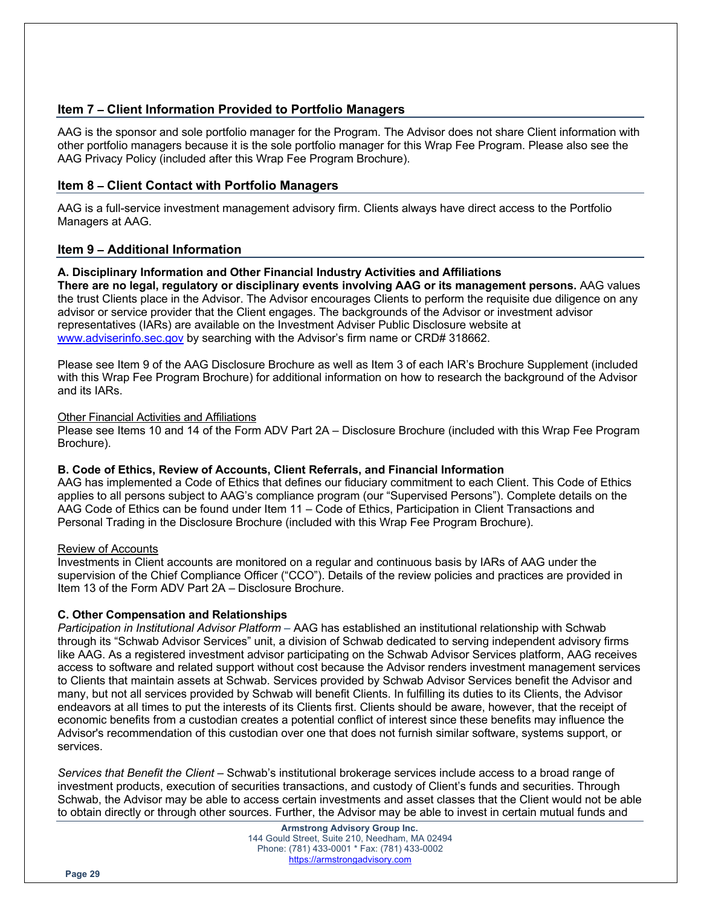# **Item 7 – Client Information Provided to Portfolio Managers**

AAG is the sponsor and sole portfolio manager for the Program. The Advisor does not share Client information with other portfolio managers because it is the sole portfolio manager for this Wrap Fee Program. Please also see the AAG Privacy Policy (included after this Wrap Fee Program Brochure).

## **Item 8 – Client Contact with Portfolio Managers**

AAG is a full-service investment management advisory firm. Clients always have direct access to the Portfolio Managers at AAG.

# **Item 9 – Additional Information**

## **A. Disciplinary Information and Other Financial Industry Activities and Affiliations**

**There are no legal, regulatory or disciplinary events involving AAG or its management persons.** AAG values the trust Clients place in the Advisor. The Advisor encourages Clients to perform the requisite due diligence on any advisor or service provider that the Client engages. The backgrounds of the Advisor or investment advisor representatives (IARs) are available on the Investment Adviser Public Disclosure website at www.adviserinfo.sec.gov by searching with the Advisor's firm name or CRD# 318662.

Please see Item 9 of the AAG Disclosure Brochure as well as Item 3 of each IAR's Brochure Supplement (included with this Wrap Fee Program Brochure) for additional information on how to research the background of the Advisor and its IARs.

## Other Financial Activities and Affiliations

Please see Items 10 and 14 of the Form ADV Part 2A – Disclosure Brochure (included with this Wrap Fee Program Brochure).

## **B. Code of Ethics, Review of Accounts, Client Referrals, and Financial Information**

AAG has implemented a Code of Ethics that defines our fiduciary commitment to each Client. This Code of Ethics applies to all persons subject to AAG's compliance program (our "Supervised Persons"). Complete details on the AAG Code of Ethics can be found under Item 11 – Code of Ethics, Participation in Client Transactions and Personal Trading in the Disclosure Brochure (included with this Wrap Fee Program Brochure).

## Review of Accounts

Investments in Client accounts are monitored on a regular and continuous basis by IARs of AAG under the supervision of the Chief Compliance Officer ("CCO"). Details of the review policies and practices are provided in Item 13 of the Form ADV Part 2A – Disclosure Brochure.

## **C. Other Compensation and Relationships**

*Participation in Institutional Advisor Platform* – AAG has established an institutional relationship with Schwab through its "Schwab Advisor Services" unit, a division of Schwab dedicated to serving independent advisory firms like AAG. As a registered investment advisor participating on the Schwab Advisor Services platform, AAG receives access to software and related support without cost because the Advisor renders investment management services to Clients that maintain assets at Schwab. Services provided by Schwab Advisor Services benefit the Advisor and many, but not all services provided by Schwab will benefit Clients. In fulfilling its duties to its Clients, the Advisor endeavors at all times to put the interests of its Clients first. Clients should be aware, however, that the receipt of economic benefits from a custodian creates a potential conflict of interest since these benefits may influence the Advisor's recommendation of this custodian over one that does not furnish similar software, systems support, or services.

*Services that Benefit the Client* – Schwab's institutional brokerage services include access to a broad range of investment products, execution of securities transactions, and custody of Client's funds and securities. Through Schwab, the Advisor may be able to access certain investments and asset classes that the Client would not be able to obtain directly or through other sources. Further, the Advisor may be able to invest in certain mutual funds and

> **Armstrong Advisory Group Inc.** 144 Gould Street, Suite 210, Needham, MA 02494 Phone: (781) 433-0001 \* Fax: (781) 433-0002 https://armstrongadvisory.com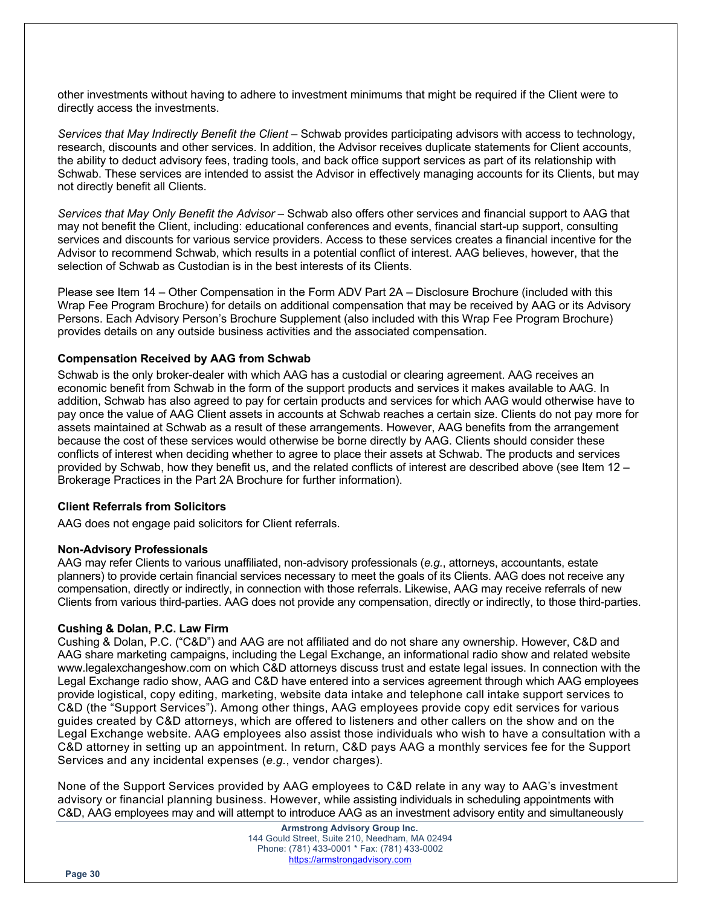other investments without having to adhere to investment minimums that might be required if the Client were to directly access the investments.

*Services that May Indirectly Benefit the Client* – Schwab provides participating advisors with access to technology, research, discounts and other services. In addition, the Advisor receives duplicate statements for Client accounts, the ability to deduct advisory fees, trading tools, and back office support services as part of its relationship with Schwab. These services are intended to assist the Advisor in effectively managing accounts for its Clients, but may not directly benefit all Clients.

*Services that May Only Benefit the Advisor* – Schwab also offers other services and financial support to AAG that may not benefit the Client, including: educational conferences and events, financial start-up support, consulting services and discounts for various service providers. Access to these services creates a financial incentive for the Advisor to recommend Schwab, which results in a potential conflict of interest. AAG believes, however, that the selection of Schwab as Custodian is in the best interests of its Clients.

Please see Item 14 – Other Compensation in the Form ADV Part 2A – Disclosure Brochure (included with this Wrap Fee Program Brochure) for details on additional compensation that may be received by AAG or its Advisory Persons. Each Advisory Person's Brochure Supplement (also included with this Wrap Fee Program Brochure) provides details on any outside business activities and the associated compensation.

## **Compensation Received by AAG from Schwab**

Schwab is the only broker-dealer with which AAG has a custodial or clearing agreement. AAG receives an economic benefit from Schwab in the form of the support products and services it makes available to AAG. In addition, Schwab has also agreed to pay for certain products and services for which AAG would otherwise have to pay once the value of AAG Client assets in accounts at Schwab reaches a certain size. Clients do not pay more for assets maintained at Schwab as a result of these arrangements. However, AAG benefits from the arrangement because the cost of these services would otherwise be borne directly by AAG. Clients should consider these conflicts of interest when deciding whether to agree to place their assets at Schwab. The products and services provided by Schwab, how they benefit us, and the related conflicts of interest are described above (see Item 12 – Brokerage Practices in the Part 2A Brochure for further information).

#### **Client Referrals from Solicitors**

AAG does not engage paid solicitors for Client referrals.

#### **Non-Advisory Professionals**

AAG may refer Clients to various unaffiliated, non-advisory professionals (*e.g.*, attorneys, accountants, estate planners) to provide certain financial services necessary to meet the goals of its Clients. AAG does not receive any compensation, directly or indirectly, in connection with those referrals. Likewise, AAG may receive referrals of new Clients from various third-parties. AAG does not provide any compensation, directly or indirectly, to those third-parties.

#### **Cushing & Dolan, P.C. Law Firm**

Cushing & Dolan, P.C. ("C&D") and AAG are not affiliated and do not share any ownership. However, C&D and AAG share marketing campaigns, including the Legal Exchange, an informational radio show and related website www.legalexchangeshow.com on which C&D attorneys discuss trust and estate legal issues. In connection with the Legal Exchange radio show, AAG and C&D have entered into a services agreement through which AAG employees provide logistical, copy editing, marketing, website data intake and telephone call intake support services to C&D (the "Support Services"). Among other things, AAG employees provide copy edit services for various guides created by C&D attorneys, which are offered to listeners and other callers on the show and on the Legal Exchange website. AAG employees also assist those individuals who wish to have a consultation with a C&D attorney in setting up an appointment. In return, C&D pays AAG a monthly services fee for the Support Services and any incidental expenses (*e.g.*, vendor charges).

None of the Support Services provided by AAG employees to C&D relate in any way to AAG's investment advisory or financial planning business. However, while assisting individuals in scheduling appointments with C&D, AAG employees may and will attempt to introduce AAG as an investment advisory entity and simultaneously